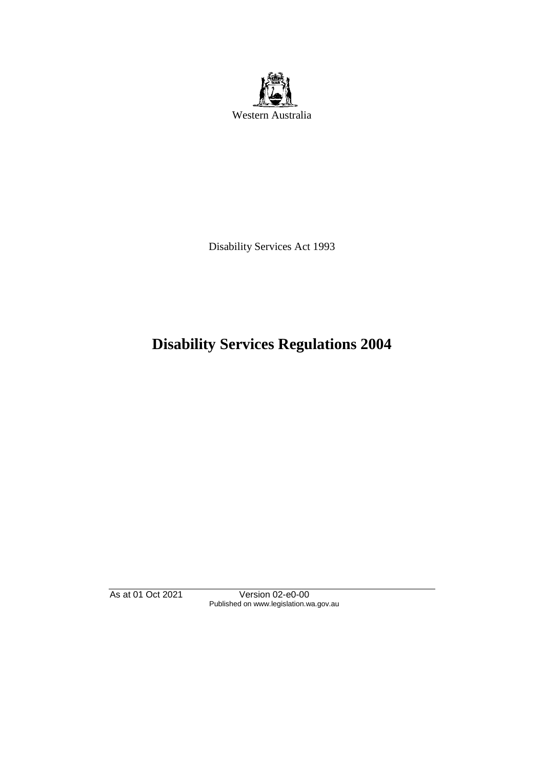

Disability Services Act 1993

# **Disability Services Regulations 2004**

As at 01 Oct 2021 Version 02-e0-00 Published on www.legislation.wa.gov.au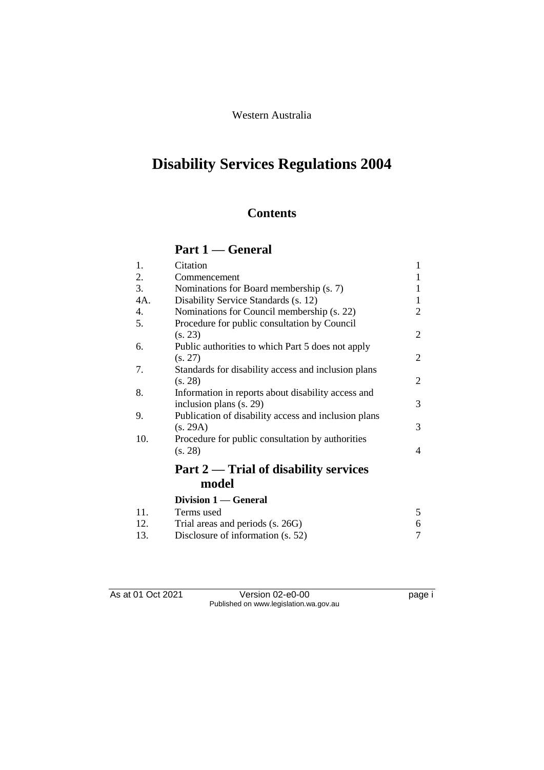## Western Australia

# **Disability Services Regulations 2004**

# **Contents**

# **Part 1 — General**

| 1.  | Citation                                             | $\mathbf{1}$ |
|-----|------------------------------------------------------|--------------|
| 2.  | Commencement                                         | 1            |
| 3.  | Nominations for Board membership (s. 7)              | 1            |
| 4A. | Disability Service Standards (s. 12)                 | 1            |
| 4.  | Nominations for Council membership (s. 22)           | 2            |
| 5.  | Procedure for public consultation by Council         |              |
|     | (s. 23)                                              | 2            |
| 6.  | Public authorities to which Part 5 does not apply    |              |
|     | (s. 27)                                              | 2            |
| 7.  | Standards for disability access and inclusion plans  |              |
|     | (s. 28)                                              | 2            |
| 8.  | Information in reports about disability access and   |              |
|     | inclusion plans (s. 29)                              | 3            |
| 9.  | Publication of disability access and inclusion plans |              |
|     | (s. 29A)                                             | 3            |
| 10. | Procedure for public consultation by authorities     |              |
|     | (s. 28)                                              | 4            |
|     | Part 2 — Trial of disability services                |              |
|     | model                                                |              |
|     | Division 1 — General                                 |              |
| 11. | Terms used                                           | 5            |
| 12. | Trial areas and periods (s. 26G)                     | 6            |
| 13. | Disclosure of information (s. 52)                    | 7            |

As at 01 Oct 2021 Version 02-e0-00 page i Published on www.legislation.wa.gov.au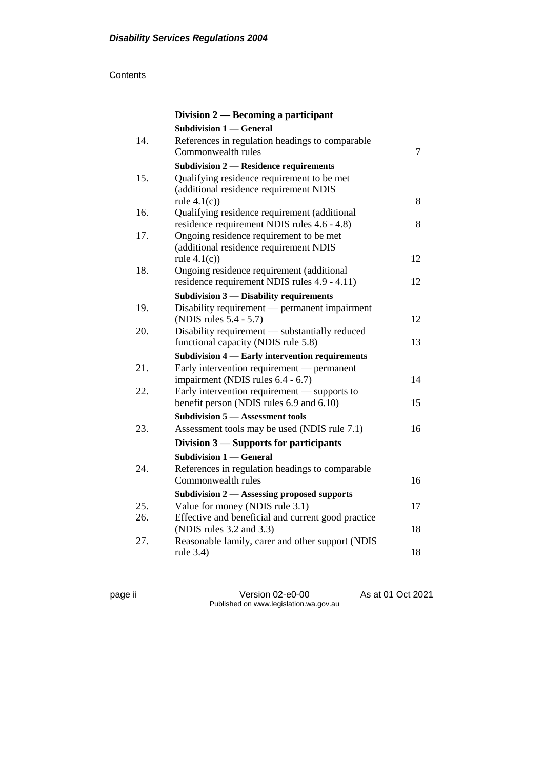#### **Contents**

|     | Division $2$ — Becoming a participant                                                                 |    |
|-----|-------------------------------------------------------------------------------------------------------|----|
|     | <b>Subdivision 1 - General</b>                                                                        |    |
| 14. | References in regulation headings to comparable<br>Commonwealth rules                                 | 7  |
|     | <b>Subdivision 2 - Residence requirements</b>                                                         |    |
| 15. | Qualifying residence requirement to be met<br>(additional residence requirement NDIS<br>rule $4.1(c)$ | 8  |
| 16. | Qualifying residence requirement (additional                                                          |    |
|     | residence requirement NDIS rules 4.6 - 4.8)                                                           | 8  |
| 17. | Ongoing residence requirement to be met                                                               |    |
|     | (additional residence requirement NDIS                                                                |    |
|     | rule $4.1(c)$ )                                                                                       | 12 |
| 18. | Ongoing residence requirement (additional                                                             |    |
|     | residence requirement NDIS rules 4.9 - 4.11)                                                          | 12 |
|     | Subdivision 3 - Disability requirements                                                               |    |
| 19. | Disability requirement — permanent impairment<br>(NDIS rules 5.4 - 5.7)                               | 12 |
| 20. | Disability requirement - substantially reduced                                                        |    |
|     | functional capacity (NDIS rule 5.8)                                                                   | 13 |
|     | Subdivision 4 - Early intervention requirements                                                       |    |
| 21. | Early intervention requirement — permanent                                                            |    |
|     | impairment (NDIS rules 6.4 - 6.7)                                                                     | 14 |
| 22. | Early intervention requirement — supports to                                                          |    |
|     | benefit person (NDIS rules 6.9 and 6.10)                                                              | 15 |
|     | <b>Subdivision 5 – Assessment tools</b>                                                               |    |
| 23. | Assessment tools may be used (NDIS rule 7.1)                                                          | 16 |
|     | Division 3 – Supports for participants                                                                |    |
|     | <b>Subdivision 1 – General</b>                                                                        |    |
| 24. | References in regulation headings to comparable                                                       |    |
|     | Commonwealth rules                                                                                    | 16 |
|     | Subdivision 2 - Assessing proposed supports                                                           |    |
| 25. | Value for money (NDIS rule 3.1)                                                                       | 17 |
| 26. | Effective and beneficial and current good practice                                                    |    |
|     | (NDIS rules 3.2 and 3.3)                                                                              | 18 |
| 27. | Reasonable family, carer and other support (NDIS<br>rule 3.4)                                         | 18 |

page ii Version 02-e0-00 As at 01 Oct 2021 Published on www.legislation.wa.gov.au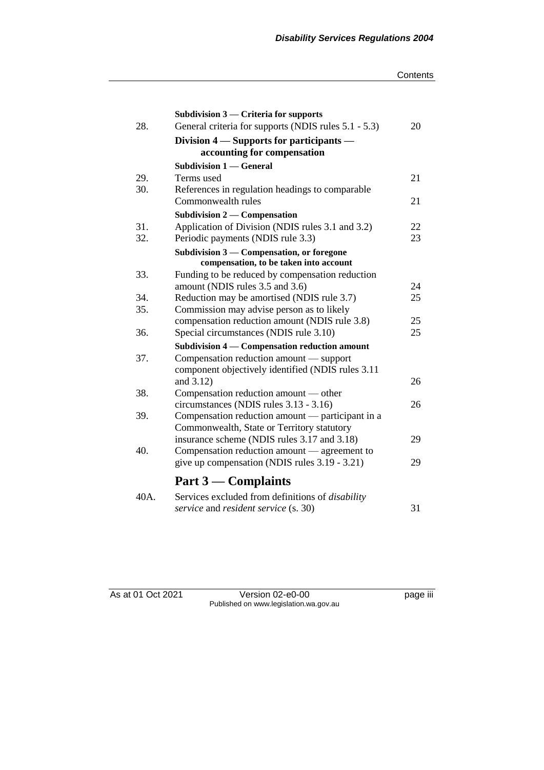#### **Contents**

|      | Subdivision $3$ — Criteria for supports                                                  |    |
|------|------------------------------------------------------------------------------------------|----|
| 28.  | General criteria for supports (NDIS rules 5.1 - 5.3)                                     | 20 |
|      | Division 4 – Supports for participants –                                                 |    |
|      | accounting for compensation                                                              |    |
|      | <b>Subdivision 1 – General</b>                                                           |    |
| 29.  | Terms used                                                                               | 21 |
| 30.  | References in regulation headings to comparable                                          |    |
|      | Commonwealth rules                                                                       | 21 |
|      | Subdivision 2 — Compensation                                                             |    |
| 31.  | Application of Division (NDIS rules 3.1 and 3.2)                                         | 22 |
| 32.  | Periodic payments (NDIS rule 3.3)                                                        | 23 |
|      | Subdivision 3 — Compensation, or foregone                                                |    |
|      | compensation, to be taken into account                                                   |    |
| 33.  | Funding to be reduced by compensation reduction                                          |    |
|      | amount (NDIS rules 3.5 and 3.6)                                                          | 24 |
| 34.  | Reduction may be amortised (NDIS rule 3.7)                                               | 25 |
| 35.  | Commission may advise person as to likely                                                | 25 |
| 36.  | compensation reduction amount (NDIS rule 3.8)<br>Special circumstances (NDIS rule 3.10)  | 25 |
|      |                                                                                          |    |
| 37.  | Subdivision 4 — Compensation reduction amount<br>Compensation reduction amount — support |    |
|      | component objectively identified (NDIS rules 3.11                                        |    |
|      | and 3.12)                                                                                | 26 |
| 38.  | Compensation reduction amount — other                                                    |    |
|      | circumstances (NDIS rules 3.13 - 3.16)                                                   | 26 |
| 39.  | Compensation reduction amount — participant in a                                         |    |
|      | Commonwealth, State or Territory statutory                                               |    |
|      | insurance scheme (NDIS rules 3.17 and 3.18)                                              | 29 |
| 40.  | Compensation reduction amount — agreement to                                             |    |
|      | give up compensation (NDIS rules 3.19 - 3.21)                                            | 29 |
|      | Part $3$ — Complaints                                                                    |    |
| 40A. | Services excluded from definitions of disability                                         |    |

40A. Services excluded from definitions of *disability service* and *resident service* (s. 30) 31

As at 01 Oct 2021 Version 02-e0-00 page iii Published on www.legislation.wa.gov.au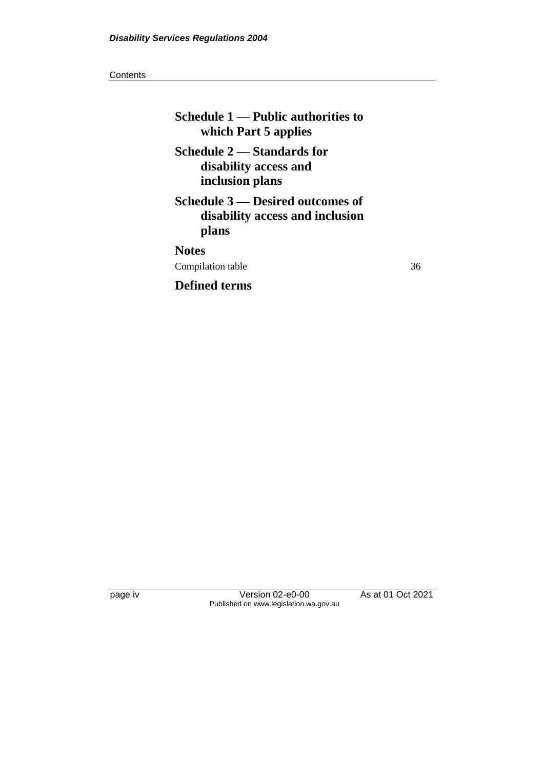#### **Contents**

| Schedule 1 — Public authorities to<br>which Part 5 applies                   |    |
|------------------------------------------------------------------------------|----|
| Schedule 2 — Standards for<br>disability access and<br>inclusion plans       |    |
| Schedule 3 — Desired outcomes of<br>disability access and inclusion<br>plans |    |
| <b>Notes</b>                                                                 |    |
| Compilation table                                                            | 36 |
| <b>Defined terms</b>                                                         |    |

page iv Version 02-e0-00 As at 01 Oct 2021 Published on www.legislation.wa.gov.au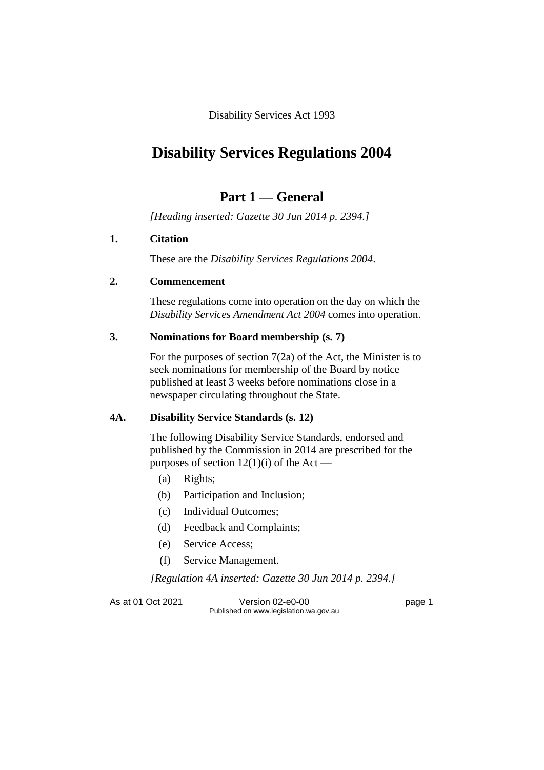Disability Services Act 1993

# **Disability Services Regulations 2004**

# **Part 1 — General**

*[Heading inserted: Gazette 30 Jun 2014 p. 2394.]*

#### **1. Citation**

These are the *Disability Services Regulations 2004*.

#### **2. Commencement**

These regulations come into operation on the day on which the *Disability Services Amendment Act 2004* comes into operation.

#### **3. Nominations for Board membership (s. 7)**

For the purposes of section 7(2a) of the Act, the Minister is to seek nominations for membership of the Board by notice published at least 3 weeks before nominations close in a newspaper circulating throughout the State.

#### **4A. Disability Service Standards (s. 12)**

The following Disability Service Standards, endorsed and published by the Commission in 2014 are prescribed for the purposes of section  $12(1)(i)$  of the Act —

- (a) Rights;
- (b) Participation and Inclusion;
- (c) Individual Outcomes;
- (d) Feedback and Complaints;
- (e) Service Access;
- (f) Service Management.

*[Regulation 4A inserted: Gazette 30 Jun 2014 p. 2394.]*

As at 01 Oct 2021 Version 02-e0-00 Page 1 Published on www.legislation.wa.gov.au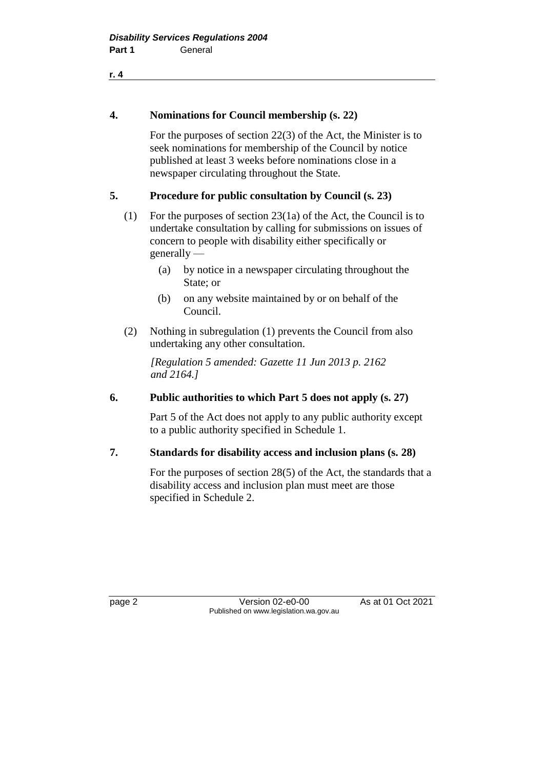#### **4. Nominations for Council membership (s. 22)**

For the purposes of section 22(3) of the Act, the Minister is to seek nominations for membership of the Council by notice published at least 3 weeks before nominations close in a newspaper circulating throughout the State.

#### **5. Procedure for public consultation by Council (s. 23)**

- (1) For the purposes of section 23(1a) of the Act, the Council is to undertake consultation by calling for submissions on issues of concern to people with disability either specifically or generally —
	- (a) by notice in a newspaper circulating throughout the State; or
	- (b) on any website maintained by or on behalf of the Council.
- (2) Nothing in subregulation (1) prevents the Council from also undertaking any other consultation.

*[Regulation 5 amended: Gazette 11 Jun 2013 p. 2162 and 2164.]*

#### **6. Public authorities to which Part 5 does not apply (s. 27)**

Part 5 of the Act does not apply to any public authority except to a public authority specified in Schedule 1.

#### **7. Standards for disability access and inclusion plans (s. 28)**

For the purposes of section 28(5) of the Act, the standards that a disability access and inclusion plan must meet are those specified in Schedule 2.

page 2 **Version 02-e0-00** As at 01 Oct 2021 Published on www.legislation.wa.gov.au

**r. 4**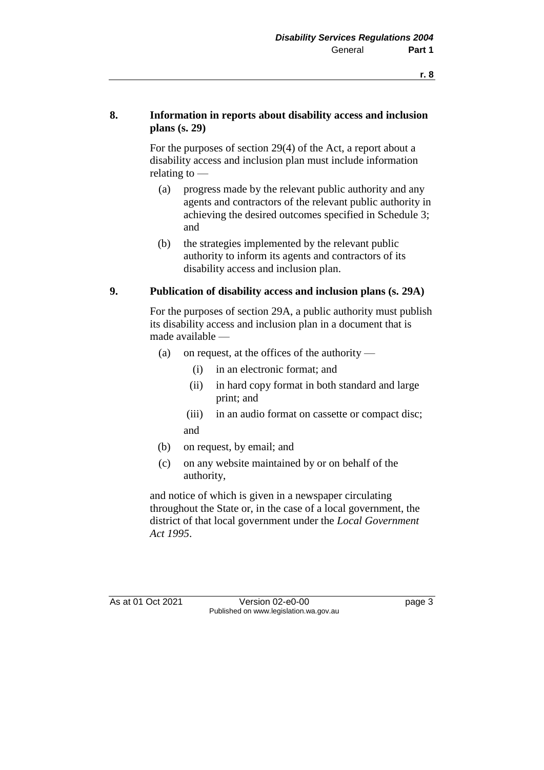#### **8. Information in reports about disability access and inclusion plans (s. 29)**

For the purposes of section 29(4) of the Act, a report about a disability access and inclusion plan must include information relating to —

- (a) progress made by the relevant public authority and any agents and contractors of the relevant public authority in achieving the desired outcomes specified in Schedule 3; and
- (b) the strategies implemented by the relevant public authority to inform its agents and contractors of its disability access and inclusion plan.

#### **9. Publication of disability access and inclusion plans (s. 29A)**

For the purposes of section 29A, a public authority must publish its disability access and inclusion plan in a document that is made available —

- (a) on request, at the offices of the authority
	- (i) in an electronic format; and
	- (ii) in hard copy format in both standard and large print; and
	- (iii) in an audio format on cassette or compact disc; and
- (b) on request, by email; and
- (c) on any website maintained by or on behalf of the authority,

and notice of which is given in a newspaper circulating throughout the State or, in the case of a local government, the district of that local government under the *Local Government Act 1995*.

As at 01 Oct 2021 Version 02-e0-00 Page 3 Published on www.legislation.wa.gov.au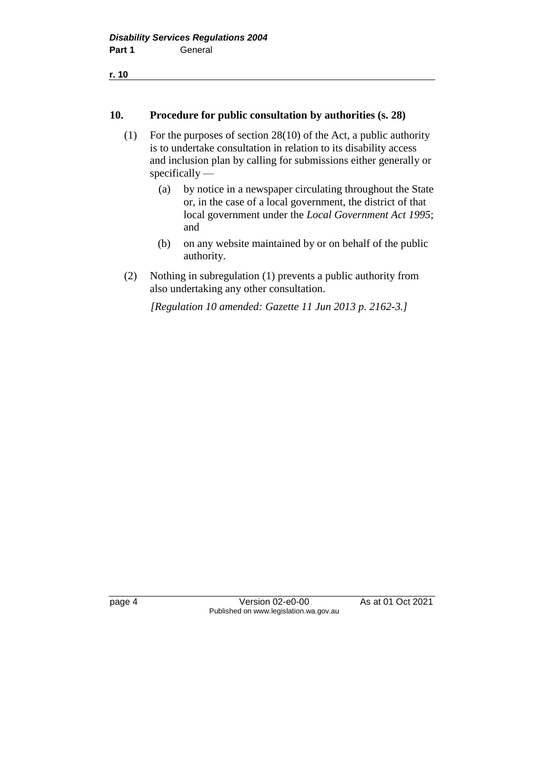```
r. 10
```
#### **10. Procedure for public consultation by authorities (s. 28)**

- (1) For the purposes of section 28(10) of the Act, a public authority is to undertake consultation in relation to its disability access and inclusion plan by calling for submissions either generally or specifically —
	- (a) by notice in a newspaper circulating throughout the State or, in the case of a local government, the district of that local government under the *Local Government Act 1995*; and
	- (b) on any website maintained by or on behalf of the public authority.
- (2) Nothing in subregulation (1) prevents a public authority from also undertaking any other consultation.

*[Regulation 10 amended: Gazette 11 Jun 2013 p. 2162-3.]*

page 4 Version 02-e0-00 As at 01 Oct 2021 Published on www.legislation.wa.gov.au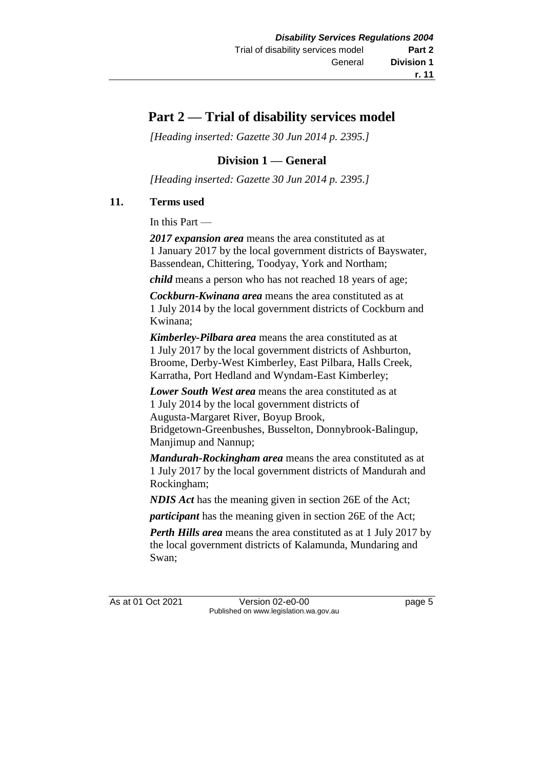# **Part 2 — Trial of disability services model**

*[Heading inserted: Gazette 30 Jun 2014 p. 2395.]*

## **Division 1 — General**

*[Heading inserted: Gazette 30 Jun 2014 p. 2395.]*

#### **11. Terms used**

In this Part —

*2017 expansion area* means the area constituted as at 1 January 2017 by the local government districts of Bayswater, Bassendean, Chittering, Toodyay, York and Northam;

*child* means a person who has not reached 18 years of age;

*Cockburn-Kwinana area* means the area constituted as at 1 July 2014 by the local government districts of Cockburn and Kwinana;

*Kimberley-Pilbara area* means the area constituted as at 1 July 2017 by the local government districts of Ashburton, Broome, Derby-West Kimberley, East Pilbara, Halls Creek, Karratha, Port Hedland and Wyndam-East Kimberley;

*Lower South West area* means the area constituted as at 1 July 2014 by the local government districts of Augusta-Margaret River, Boyup Brook, Bridgetown-Greenbushes, Busselton, Donnybrook-Balingup, Manjimup and Nannup;

*Mandurah-Rockingham area* means the area constituted as at 1 July 2017 by the local government districts of Mandurah and Rockingham;

*NDIS Act* has the meaning given in section 26E of the Act;

*participant* has the meaning given in section 26E of the Act;

*Perth Hills area* means the area constituted as at 1 July 2017 by the local government districts of Kalamunda, Mundaring and Swan;

As at 01 Oct 2021 Version 02-e0-00 Page 5 Published on www.legislation.wa.gov.au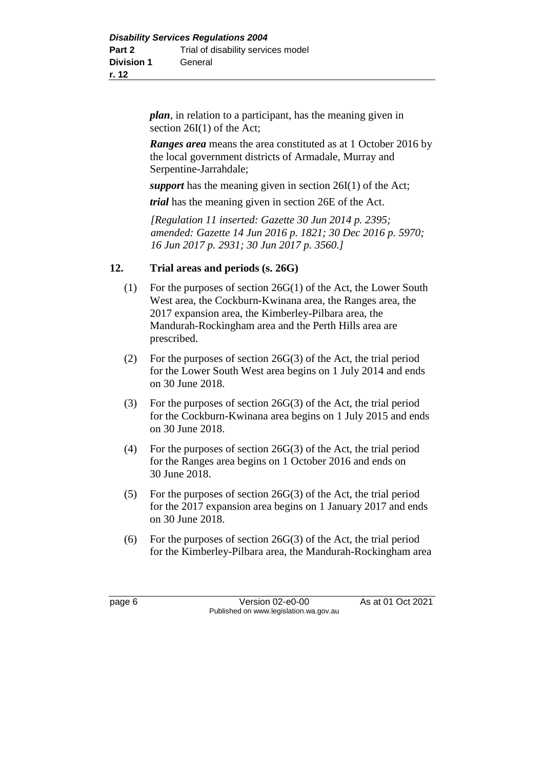*plan*, in relation to a participant, has the meaning given in section 26I(1) of the Act;

*Ranges area* means the area constituted as at 1 October 2016 by the local government districts of Armadale, Murray and Serpentine-Jarrahdale;

*support* has the meaning given in section 26I(1) of the Act;

*trial* has the meaning given in section 26E of the Act.

*[Regulation 11 inserted: Gazette 30 Jun 2014 p. 2395; amended: Gazette 14 Jun 2016 p. 1821; 30 Dec 2016 p. 5970; 16 Jun 2017 p. 2931; 30 Jun 2017 p. 3560.]*

#### **12. Trial areas and periods (s. 26G)**

- (1) For the purposes of section 26G(1) of the Act, the Lower South West area, the Cockburn-Kwinana area, the Ranges area, the 2017 expansion area, the Kimberley-Pilbara area, the Mandurah-Rockingham area and the Perth Hills area are prescribed.
- (2) For the purposes of section 26G(3) of the Act, the trial period for the Lower South West area begins on 1 July 2014 and ends on 30 June 2018.
- (3) For the purposes of section 26G(3) of the Act, the trial period for the Cockburn-Kwinana area begins on 1 July 2015 and ends on 30 June 2018.
- (4) For the purposes of section 26G(3) of the Act, the trial period for the Ranges area begins on 1 October 2016 and ends on 30 June 2018.
- (5) For the purposes of section 26G(3) of the Act, the trial period for the 2017 expansion area begins on 1 January 2017 and ends on 30 June 2018.
- (6) For the purposes of section 26G(3) of the Act, the trial period for the Kimberley-Pilbara area, the Mandurah-Rockingham area

page 6 Version 02-e0-00 As at 01 Oct 2021 Published on www.legislation.wa.gov.au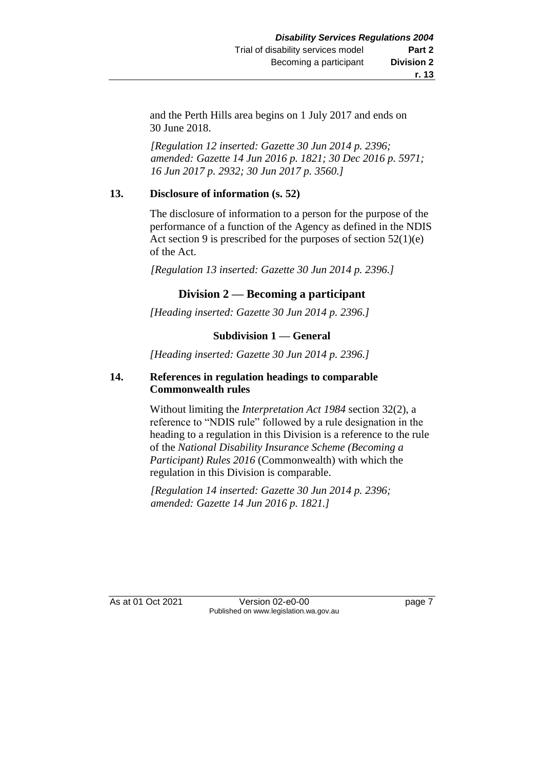and the Perth Hills area begins on 1 July 2017 and ends on 30 June 2018.

*[Regulation 12 inserted: Gazette 30 Jun 2014 p. 2396; amended: Gazette 14 Jun 2016 p. 1821; 30 Dec 2016 p. 5971; 16 Jun 2017 p. 2932; 30 Jun 2017 p. 3560.]*

#### **13. Disclosure of information (s. 52)**

The disclosure of information to a person for the purpose of the performance of a function of the Agency as defined in the NDIS Act section 9 is prescribed for the purposes of section  $52(1)(e)$ of the Act.

*[Regulation 13 inserted: Gazette 30 Jun 2014 p. 2396.]*

### **Division 2 — Becoming a participant**

*[Heading inserted: Gazette 30 Jun 2014 p. 2396.]*

#### **Subdivision 1 — General**

*[Heading inserted: Gazette 30 Jun 2014 p. 2396.]*

#### **14. References in regulation headings to comparable Commonwealth rules**

Without limiting the *Interpretation Act 1984* section 32(2), a reference to "NDIS rule" followed by a rule designation in the heading to a regulation in this Division is a reference to the rule of the *National Disability Insurance Scheme (Becoming a Participant) Rules 2016* (Commonwealth) with which the regulation in this Division is comparable.

*[Regulation 14 inserted: Gazette 30 Jun 2014 p. 2396; amended: Gazette 14 Jun 2016 p. 1821.]*

As at 01 Oct 2021 Version 02-e0-00 Page 7 Published on www.legislation.wa.gov.au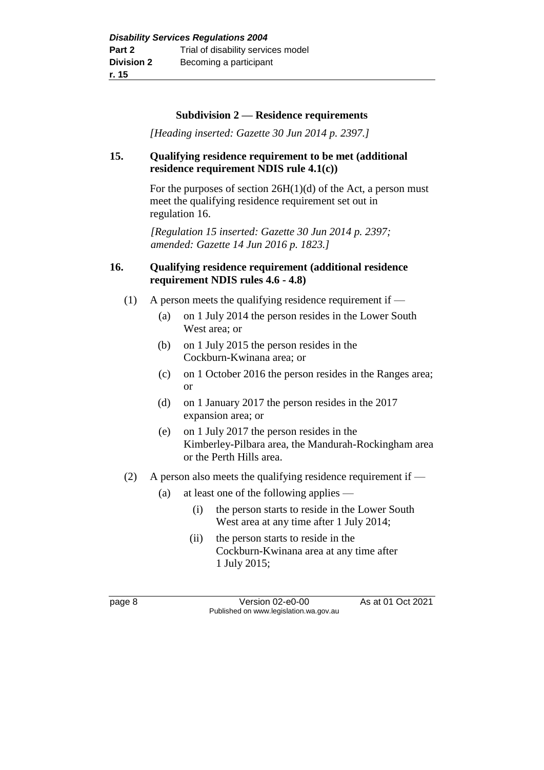#### **Subdivision 2 — Residence requirements**

*[Heading inserted: Gazette 30 Jun 2014 p. 2397.]*

#### **15. Qualifying residence requirement to be met (additional residence requirement NDIS rule 4.1(c))**

For the purposes of section 26H(1)(d) of the Act, a person must meet the qualifying residence requirement set out in regulation 16.

*[Regulation 15 inserted: Gazette 30 Jun 2014 p. 2397; amended: Gazette 14 Jun 2016 p. 1823.]*

#### **16. Qualifying residence requirement (additional residence requirement NDIS rules 4.6 - 4.8)**

- (1) A person meets the qualifying residence requirement if  $-$ 
	- (a) on 1 July 2014 the person resides in the Lower South West area; or
	- (b) on 1 July 2015 the person resides in the Cockburn-Kwinana area; or
	- (c) on 1 October 2016 the person resides in the Ranges area; or
	- (d) on 1 January 2017 the person resides in the 2017 expansion area; or
	- (e) on 1 July 2017 the person resides in the Kimberley-Pilbara area, the Mandurah-Rockingham area or the Perth Hills area.
- (2) A person also meets the qualifying residence requirement if  $-$ 
	- (a) at least one of the following applies
		- (i) the person starts to reside in the Lower South West area at any time after 1 July 2014;
		- (ii) the person starts to reside in the Cockburn-Kwinana area at any time after 1 July 2015;

page 8 Version 02-e0-00 As at 01 Oct 2021 Published on www.legislation.wa.gov.au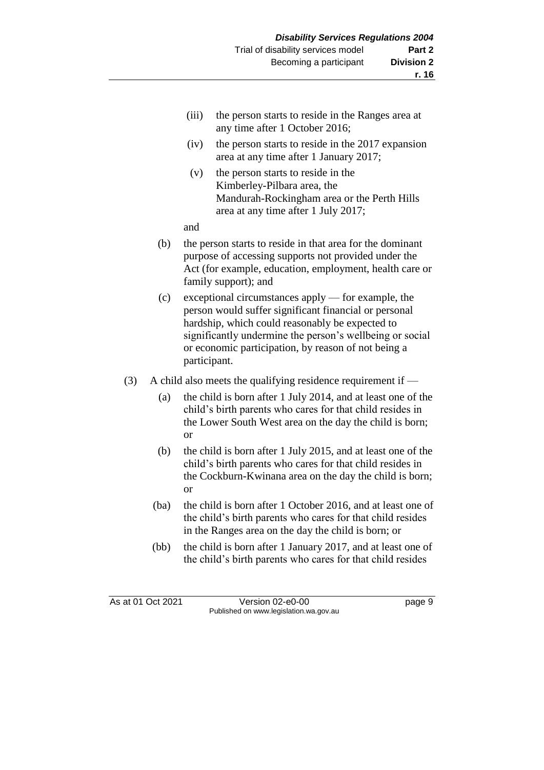- (iii) the person starts to reside in the Ranges area at any time after 1 October 2016;
- (iv) the person starts to reside in the 2017 expansion area at any time after 1 January 2017;
- (v) the person starts to reside in the Kimberley-Pilbara area, the Mandurah-Rockingham area or the Perth Hills area at any time after 1 July 2017;

and

- (b) the person starts to reside in that area for the dominant purpose of accessing supports not provided under the Act (for example, education, employment, health care or family support); and
- (c) exceptional circumstances apply for example, the person would suffer significant financial or personal hardship, which could reasonably be expected to significantly undermine the person's wellbeing or social or economic participation, by reason of not being a participant.
- (3) A child also meets the qualifying residence requirement if
	- (a) the child is born after 1 July 2014, and at least one of the child's birth parents who cares for that child resides in the Lower South West area on the day the child is born; or
	- (b) the child is born after 1 July 2015, and at least one of the child's birth parents who cares for that child resides in the Cockburn-Kwinana area on the day the child is born; or
	- (ba) the child is born after 1 October 2016, and at least one of the child's birth parents who cares for that child resides in the Ranges area on the day the child is born; or
	- (bb) the child is born after 1 January 2017, and at least one of the child's birth parents who cares for that child resides

As at 01 Oct 2021 Version 02-e0-00 Page 9 Published on www.legislation.wa.gov.au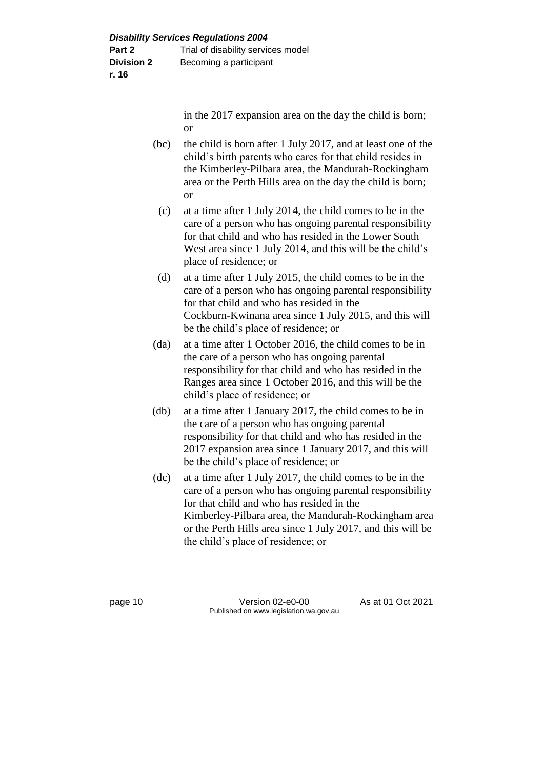in the 2017 expansion area on the day the child is born; or

- (bc) the child is born after 1 July 2017, and at least one of the child's birth parents who cares for that child resides in the Kimberley-Pilbara area, the Mandurah-Rockingham area or the Perth Hills area on the day the child is born; or
	- (c) at a time after 1 July 2014, the child comes to be in the care of a person who has ongoing parental responsibility for that child and who has resided in the Lower South West area since 1 July 2014, and this will be the child's place of residence; or
	- (d) at a time after 1 July 2015, the child comes to be in the care of a person who has ongoing parental responsibility for that child and who has resided in the Cockburn-Kwinana area since 1 July 2015, and this will be the child's place of residence; or
- (da) at a time after 1 October 2016, the child comes to be in the care of a person who has ongoing parental responsibility for that child and who has resided in the Ranges area since 1 October 2016, and this will be the child's place of residence; or
- (db) at a time after 1 January 2017, the child comes to be in the care of a person who has ongoing parental responsibility for that child and who has resided in the 2017 expansion area since 1 January 2017, and this will be the child's place of residence; or
- (dc) at a time after 1 July 2017, the child comes to be in the care of a person who has ongoing parental responsibility for that child and who has resided in the Kimberley-Pilbara area, the Mandurah-Rockingham area or the Perth Hills area since 1 July 2017, and this will be the child's place of residence; or

page 10 **Version 02-e0-00** As at 01 Oct 2021 Published on www.legislation.wa.gov.au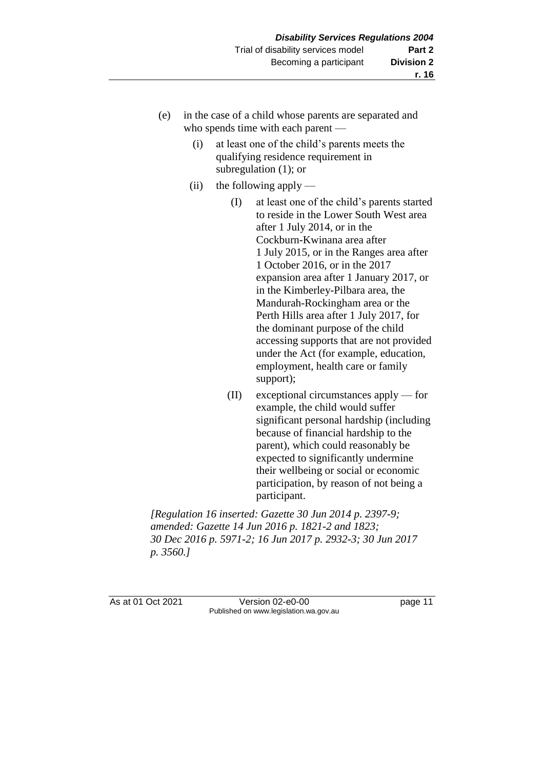- (e) in the case of a child whose parents are separated and who spends time with each parent —
	- (i) at least one of the child's parents meets the qualifying residence requirement in subregulation (1); or
	- (ii) the following apply
		- (I) at least one of the child's parents started to reside in the Lower South West area after 1 July 2014, or in the Cockburn-Kwinana area after 1 July 2015, or in the Ranges area after 1 October 2016, or in the 2017 expansion area after 1 January 2017, or in the Kimberley-Pilbara area, the Mandurah-Rockingham area or the Perth Hills area after 1 July 2017, for the dominant purpose of the child accessing supports that are not provided under the Act (for example, education, employment, health care or family support);
		- (II) exceptional circumstances apply for example, the child would suffer significant personal hardship (including because of financial hardship to the parent), which could reasonably be expected to significantly undermine their wellbeing or social or economic participation, by reason of not being a participant.

*[Regulation 16 inserted: Gazette 30 Jun 2014 p. 2397-9; amended: Gazette 14 Jun 2016 p. 1821-2 and 1823; 30 Dec 2016 p. 5971-2; 16 Jun 2017 p. 2932-3; 30 Jun 2017 p. 3560.]*

As at 01 Oct 2021 Version 02-e0-00 Page 11 Published on www.legislation.wa.gov.au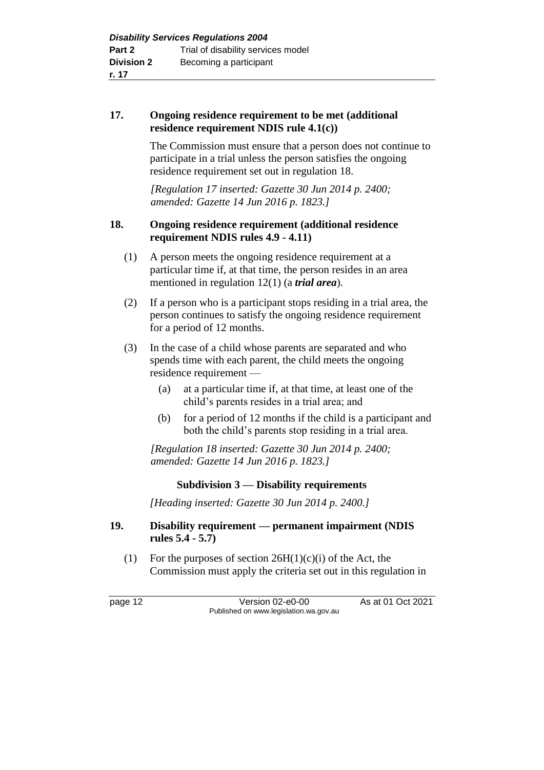#### **17. Ongoing residence requirement to be met (additional residence requirement NDIS rule 4.1(c))**

The Commission must ensure that a person does not continue to participate in a trial unless the person satisfies the ongoing residence requirement set out in regulation 18.

*[Regulation 17 inserted: Gazette 30 Jun 2014 p. 2400; amended: Gazette 14 Jun 2016 p. 1823.]*

#### **18. Ongoing residence requirement (additional residence requirement NDIS rules 4.9 - 4.11)**

- (1) A person meets the ongoing residence requirement at a particular time if, at that time, the person resides in an area mentioned in regulation 12(1) (a *trial area*).
- (2) If a person who is a participant stops residing in a trial area, the person continues to satisfy the ongoing residence requirement for a period of 12 months.
- (3) In the case of a child whose parents are separated and who spends time with each parent, the child meets the ongoing residence requirement —
	- (a) at a particular time if, at that time, at least one of the child's parents resides in a trial area; and
	- (b) for a period of 12 months if the child is a participant and both the child's parents stop residing in a trial area.

*[Regulation 18 inserted: Gazette 30 Jun 2014 p. 2400; amended: Gazette 14 Jun 2016 p. 1823.]*

### **Subdivision 3 — Disability requirements**

*[Heading inserted: Gazette 30 Jun 2014 p. 2400.]*

#### **19. Disability requirement — permanent impairment (NDIS rules 5.4 - 5.7)**

(1) For the purposes of section  $26H(1)(c)(i)$  of the Act, the Commission must apply the criteria set out in this regulation in

page 12 **Version 02-e0-00** As at 01 Oct 2021 Published on www.legislation.wa.gov.au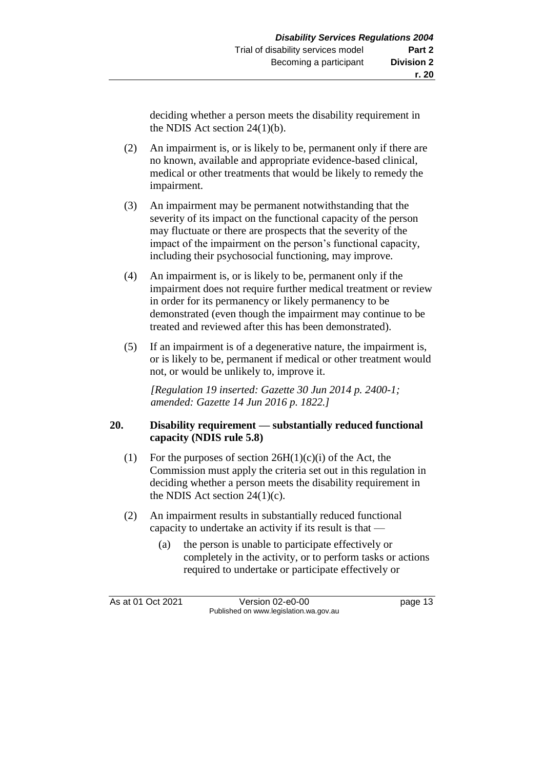deciding whether a person meets the disability requirement in the NDIS Act section 24(1)(b).

- (2) An impairment is, or is likely to be, permanent only if there are no known, available and appropriate evidence-based clinical, medical or other treatments that would be likely to remedy the impairment.
- (3) An impairment may be permanent notwithstanding that the severity of its impact on the functional capacity of the person may fluctuate or there are prospects that the severity of the impact of the impairment on the person's functional capacity, including their psychosocial functioning, may improve.
- (4) An impairment is, or is likely to be, permanent only if the impairment does not require further medical treatment or review in order for its permanency or likely permanency to be demonstrated (even though the impairment may continue to be treated and reviewed after this has been demonstrated).
- (5) If an impairment is of a degenerative nature, the impairment is, or is likely to be, permanent if medical or other treatment would not, or would be unlikely to, improve it.

*[Regulation 19 inserted: Gazette 30 Jun 2014 p. 2400-1; amended: Gazette 14 Jun 2016 p. 1822.]*

#### **20. Disability requirement — substantially reduced functional capacity (NDIS rule 5.8)**

- (1) For the purposes of section  $26H(1)(c)(i)$  of the Act, the Commission must apply the criteria set out in this regulation in deciding whether a person meets the disability requirement in the NDIS Act section  $24(1)(c)$ .
- (2) An impairment results in substantially reduced functional capacity to undertake an activity if its result is that —
	- (a) the person is unable to participate effectively or completely in the activity, or to perform tasks or actions required to undertake or participate effectively or

As at 01 Oct 2021 Version 02-e0-00 page 13 Published on www.legislation.wa.gov.au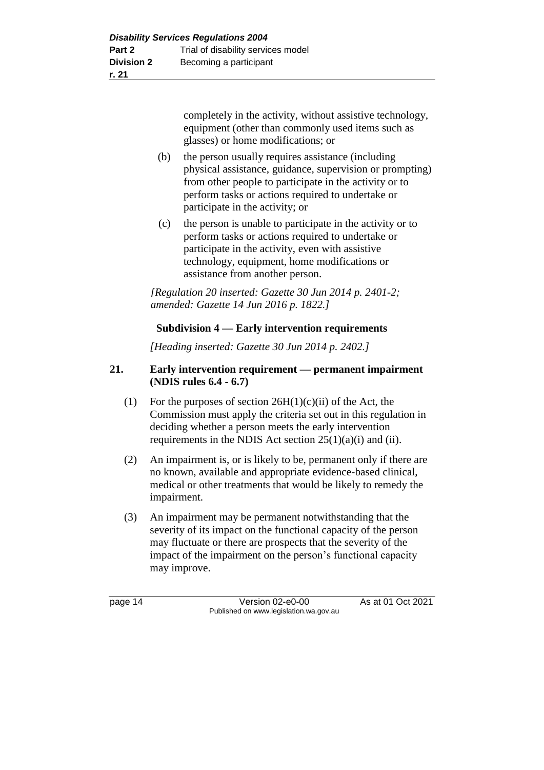completely in the activity, without assistive technology, equipment (other than commonly used items such as glasses) or home modifications; or

- (b) the person usually requires assistance (including physical assistance, guidance, supervision or prompting) from other people to participate in the activity or to perform tasks or actions required to undertake or participate in the activity; or
- (c) the person is unable to participate in the activity or to perform tasks or actions required to undertake or participate in the activity, even with assistive technology, equipment, home modifications or assistance from another person.

*[Regulation 20 inserted: Gazette 30 Jun 2014 p. 2401-2; amended: Gazette 14 Jun 2016 p. 1822.]*

### **Subdivision 4 — Early intervention requirements**

*[Heading inserted: Gazette 30 Jun 2014 p. 2402.]*

#### **21. Early intervention requirement — permanent impairment (NDIS rules 6.4 - 6.7)**

- (1) For the purposes of section  $26H(1)(c)(ii)$  of the Act, the Commission must apply the criteria set out in this regulation in deciding whether a person meets the early intervention requirements in the NDIS Act section  $25(1)(a)(i)$  and (ii).
- (2) An impairment is, or is likely to be, permanent only if there are no known, available and appropriate evidence-based clinical, medical or other treatments that would be likely to remedy the impairment.
- (3) An impairment may be permanent notwithstanding that the severity of its impact on the functional capacity of the person may fluctuate or there are prospects that the severity of the impact of the impairment on the person's functional capacity may improve.

page 14 Version 02-e0-00 As at 01 Oct 2021 Published on www.legislation.wa.gov.au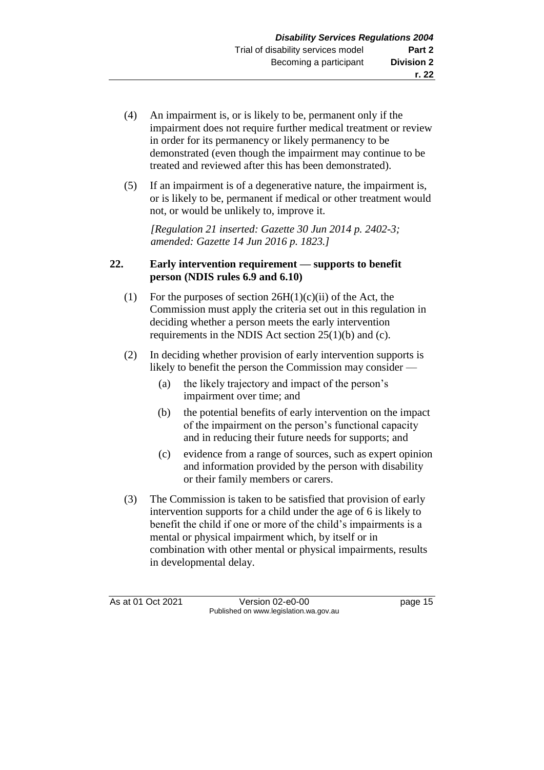- (4) An impairment is, or is likely to be, permanent only if the impairment does not require further medical treatment or review in order for its permanency or likely permanency to be demonstrated (even though the impairment may continue to be treated and reviewed after this has been demonstrated).
- (5) If an impairment is of a degenerative nature, the impairment is, or is likely to be, permanent if medical or other treatment would not, or would be unlikely to, improve it.

*[Regulation 21 inserted: Gazette 30 Jun 2014 p. 2402-3; amended: Gazette 14 Jun 2016 p. 1823.]*

#### **22. Early intervention requirement — supports to benefit person (NDIS rules 6.9 and 6.10)**

- (1) For the purposes of section  $26H(1)(c)(ii)$  of the Act, the Commission must apply the criteria set out in this regulation in deciding whether a person meets the early intervention requirements in the NDIS Act section  $25(1)(b)$  and (c).
- (2) In deciding whether provision of early intervention supports is likely to benefit the person the Commission may consider -
	- (a) the likely trajectory and impact of the person's impairment over time; and
	- (b) the potential benefits of early intervention on the impact of the impairment on the person's functional capacity and in reducing their future needs for supports; and
	- (c) evidence from a range of sources, such as expert opinion and information provided by the person with disability or their family members or carers.
- (3) The Commission is taken to be satisfied that provision of early intervention supports for a child under the age of 6 is likely to benefit the child if one or more of the child's impairments is a mental or physical impairment which, by itself or in combination with other mental or physical impairments, results in developmental delay.

As at 01 Oct 2021 Version 02-e0-00 page 15 Published on www.legislation.wa.gov.au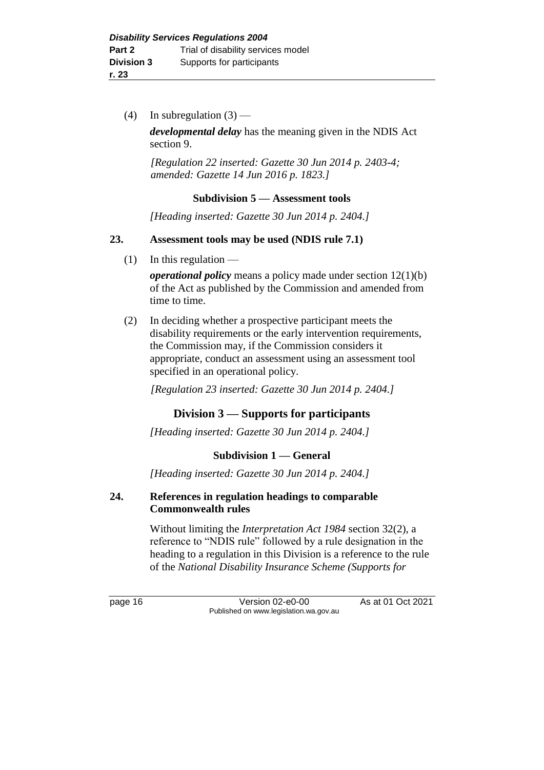(4) In subregulation  $(3)$  —

*developmental delay* has the meaning given in the NDIS Act section 9.

*[Regulation 22 inserted: Gazette 30 Jun 2014 p. 2403-4; amended: Gazette 14 Jun 2016 p. 1823.]*

#### **Subdivision 5 — Assessment tools**

*[Heading inserted: Gazette 30 Jun 2014 p. 2404.]*

#### **23. Assessment tools may be used (NDIS rule 7.1)**

 $(1)$  In this regulation —

*operational policy* means a policy made under section 12(1)(b) of the Act as published by the Commission and amended from time to time.

(2) In deciding whether a prospective participant meets the disability requirements or the early intervention requirements, the Commission may, if the Commission considers it appropriate, conduct an assessment using an assessment tool specified in an operational policy.

*[Regulation 23 inserted: Gazette 30 Jun 2014 p. 2404.]*

#### **Division 3 — Supports for participants**

*[Heading inserted: Gazette 30 Jun 2014 p. 2404.]*

#### **Subdivision 1 — General**

*[Heading inserted: Gazette 30 Jun 2014 p. 2404.]*

#### **24. References in regulation headings to comparable Commonwealth rules**

Without limiting the *Interpretation Act 1984* section 32(2), a reference to "NDIS rule" followed by a rule designation in the heading to a regulation in this Division is a reference to the rule of the *National Disability Insurance Scheme (Supports for* 

page 16 Version 02-e0-00 As at 01 Oct 2021 Published on www.legislation.wa.gov.au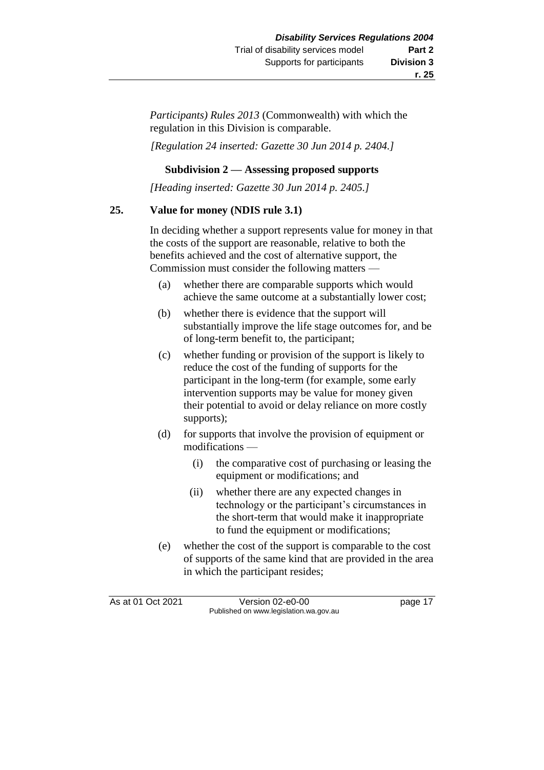**r. 25**

*Participants) Rules 2013* (Commonwealth) with which the regulation in this Division is comparable.

*[Regulation 24 inserted: Gazette 30 Jun 2014 p. 2404.]*

#### **Subdivision 2 — Assessing proposed supports**

*[Heading inserted: Gazette 30 Jun 2014 p. 2405.]*

#### **25. Value for money (NDIS rule 3.1)**

In deciding whether a support represents value for money in that the costs of the support are reasonable, relative to both the benefits achieved and the cost of alternative support, the Commission must consider the following matters —

- (a) whether there are comparable supports which would achieve the same outcome at a substantially lower cost;
- (b) whether there is evidence that the support will substantially improve the life stage outcomes for, and be of long-term benefit to, the participant;
- (c) whether funding or provision of the support is likely to reduce the cost of the funding of supports for the participant in the long-term (for example, some early intervention supports may be value for money given their potential to avoid or delay reliance on more costly supports);
- (d) for supports that involve the provision of equipment or modifications —
	- (i) the comparative cost of purchasing or leasing the equipment or modifications; and
	- (ii) whether there are any expected changes in technology or the participant's circumstances in the short-term that would make it inappropriate to fund the equipment or modifications;
- (e) whether the cost of the support is comparable to the cost of supports of the same kind that are provided in the area in which the participant resides;

As at 01 Oct 2021 Version 02-e0-00 page 17 Published on www.legislation.wa.gov.au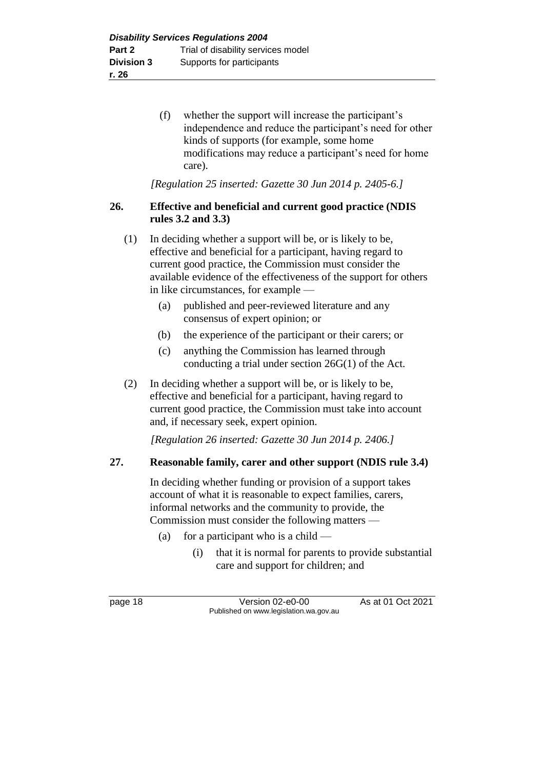(f) whether the support will increase the participant's independence and reduce the participant's need for other kinds of supports (for example, some home modifications may reduce a participant's need for home care).

*[Regulation 25 inserted: Gazette 30 Jun 2014 p. 2405-6.]*

#### **26. Effective and beneficial and current good practice (NDIS rules 3.2 and 3.3)**

- (1) In deciding whether a support will be, or is likely to be, effective and beneficial for a participant, having regard to current good practice, the Commission must consider the available evidence of the effectiveness of the support for others in like circumstances, for example —
	- (a) published and peer-reviewed literature and any consensus of expert opinion; or
	- (b) the experience of the participant or their carers; or
	- (c) anything the Commission has learned through conducting a trial under section 26G(1) of the Act.
- (2) In deciding whether a support will be, or is likely to be, effective and beneficial for a participant, having regard to current good practice, the Commission must take into account and, if necessary seek, expert opinion.

*[Regulation 26 inserted: Gazette 30 Jun 2014 p. 2406.]*

### **27. Reasonable family, carer and other support (NDIS rule 3.4)**

In deciding whether funding or provision of a support takes account of what it is reasonable to expect families, carers, informal networks and the community to provide, the Commission must consider the following matters —

- (a) for a participant who is a child  $-$ 
	- (i) that it is normal for parents to provide substantial care and support for children; and

page 18 Version 02-e0-00 As at 01 Oct 2021 Published on www.legislation.wa.gov.au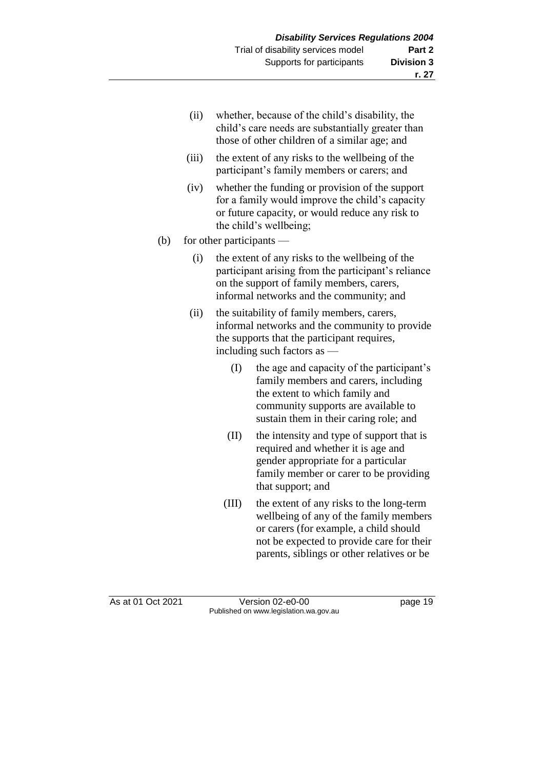- (ii) whether, because of the child's disability, the child's care needs are substantially greater than those of other children of a similar age; and
- (iii) the extent of any risks to the wellbeing of the participant's family members or carers; and
- (iv) whether the funding or provision of the support for a family would improve the child's capacity or future capacity, or would reduce any risk to the child's wellbeing;

#### (b) for other participants —

- (i) the extent of any risks to the wellbeing of the participant arising from the participant's reliance on the support of family members, carers, informal networks and the community; and
- (ii) the suitability of family members, carers, informal networks and the community to provide the supports that the participant requires, including such factors as —
	- (I) the age and capacity of the participant's family members and carers, including the extent to which family and community supports are available to sustain them in their caring role; and
	- (II) the intensity and type of support that is required and whether it is age and gender appropriate for a particular family member or carer to be providing that support; and
	- (III) the extent of any risks to the long-term wellbeing of any of the family members or carers (for example, a child should not be expected to provide care for their parents, siblings or other relatives or be

As at 01 Oct 2021 Version 02-e0-00 page 19 Published on www.legislation.wa.gov.au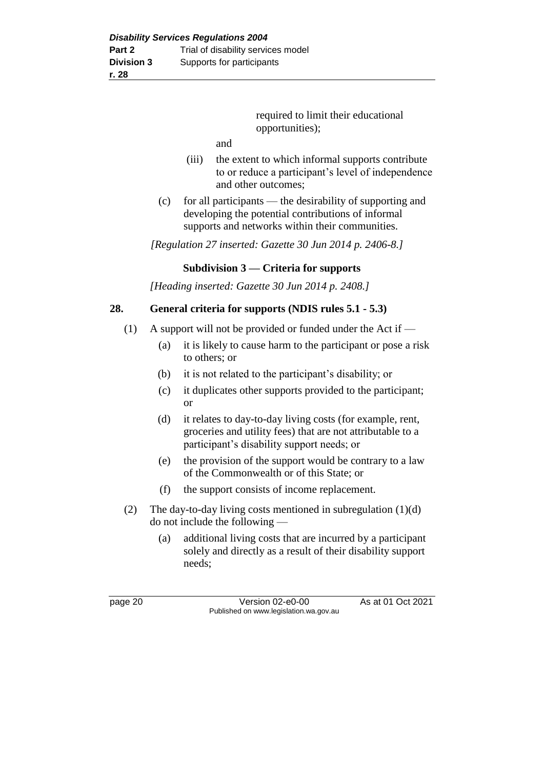required to limit their educational opportunities);

and

- (iii) the extent to which informal supports contribute to or reduce a participant's level of independence and other outcomes;
- (c) for all participants the desirability of supporting and developing the potential contributions of informal supports and networks within their communities.

*[Regulation 27 inserted: Gazette 30 Jun 2014 p. 2406-8.]*

#### **Subdivision 3 — Criteria for supports**

*[Heading inserted: Gazette 30 Jun 2014 p. 2408.]*

#### **28. General criteria for supports (NDIS rules 5.1 - 5.3)**

- (1) A support will not be provided or funded under the Act if
	- (a) it is likely to cause harm to the participant or pose a risk to others; or
	- (b) it is not related to the participant's disability; or
	- (c) it duplicates other supports provided to the participant; or
	- (d) it relates to day-to-day living costs (for example, rent, groceries and utility fees) that are not attributable to a participant's disability support needs; or
	- (e) the provision of the support would be contrary to a law of the Commonwealth or of this State; or
	- (f) the support consists of income replacement.
- (2) The day-to-day living costs mentioned in subregulation (1)(d) do not include the following —
	- (a) additional living costs that are incurred by a participant solely and directly as a result of their disability support needs;

page 20 **Version 02-e0-00** As at 01 Oct 2021 Published on www.legislation.wa.gov.au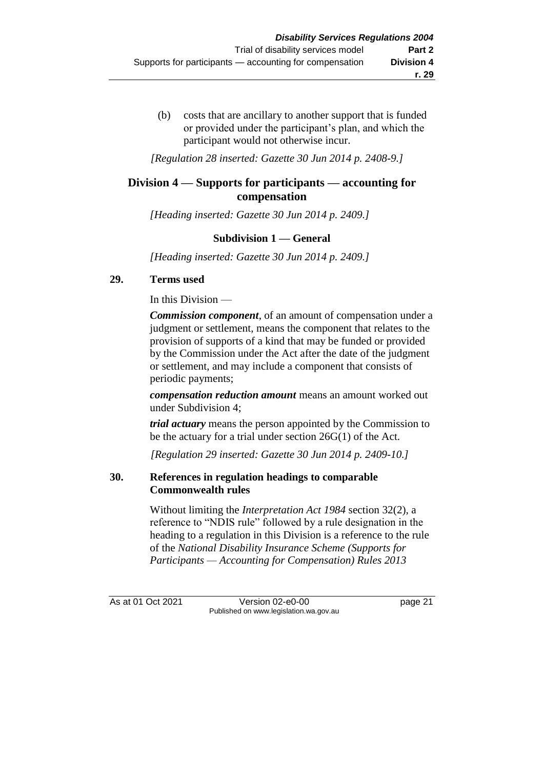(b) costs that are ancillary to another support that is funded or provided under the participant's plan, and which the participant would not otherwise incur.

*[Regulation 28 inserted: Gazette 30 Jun 2014 p. 2408-9.]*

#### **Division 4 — Supports for participants — accounting for compensation**

*[Heading inserted: Gazette 30 Jun 2014 p. 2409.]*

#### **Subdivision 1 — General**

*[Heading inserted: Gazette 30 Jun 2014 p. 2409.]*

#### **29. Terms used**

In this Division —

*Commission component*, of an amount of compensation under a judgment or settlement, means the component that relates to the provision of supports of a kind that may be funded or provided by the Commission under the Act after the date of the judgment or settlement, and may include a component that consists of periodic payments;

*compensation reduction amount* means an amount worked out under Subdivision 4;

*trial actuary* means the person appointed by the Commission to be the actuary for a trial under section 26G(1) of the Act.

*[Regulation 29 inserted: Gazette 30 Jun 2014 p. 2409-10.]*

#### **30. References in regulation headings to comparable Commonwealth rules**

Without limiting the *Interpretation Act 1984* section 32(2), a reference to "NDIS rule" followed by a rule designation in the heading to a regulation in this Division is a reference to the rule of the *National Disability Insurance Scheme (Supports for Participants — Accounting for Compensation) Rules 2013*

As at 01 Oct 2021 Version 02-e0-00 page 21 Published on www.legislation.wa.gov.au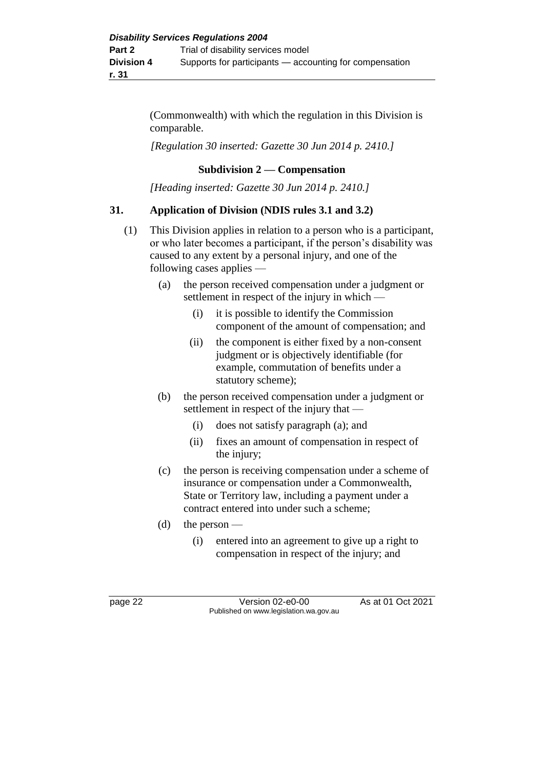(Commonwealth) with which the regulation in this Division is comparable.

*[Regulation 30 inserted: Gazette 30 Jun 2014 p. 2410.]*

#### **Subdivision 2 — Compensation**

*[Heading inserted: Gazette 30 Jun 2014 p. 2410.]*

#### **31. Application of Division (NDIS rules 3.1 and 3.2)**

- (1) This Division applies in relation to a person who is a participant, or who later becomes a participant, if the person's disability was caused to any extent by a personal injury, and one of the following cases applies —
	- (a) the person received compensation under a judgment or settlement in respect of the injury in which —
		- (i) it is possible to identify the Commission component of the amount of compensation; and
		- (ii) the component is either fixed by a non-consent judgment or is objectively identifiable (for example, commutation of benefits under a statutory scheme);
	- (b) the person received compensation under a judgment or settlement in respect of the injury that —
		- (i) does not satisfy paragraph (a); and
		- (ii) fixes an amount of compensation in respect of the injury;
	- (c) the person is receiving compensation under a scheme of insurance or compensation under a Commonwealth, State or Territory law, including a payment under a contract entered into under such a scheme;
	- (d) the person  $-$ 
		- (i) entered into an agreement to give up a right to compensation in respect of the injury; and

page 22 Version 02-e0-00 As at 01 Oct 2021 Published on www.legislation.wa.gov.au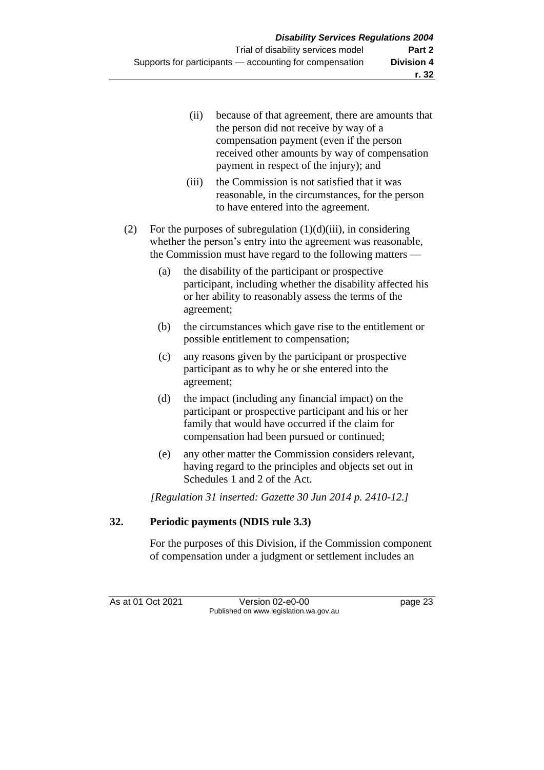- (ii) because of that agreement, there are amounts that the person did not receive by way of a compensation payment (even if the person received other amounts by way of compensation payment in respect of the injury); and
- (iii) the Commission is not satisfied that it was reasonable, in the circumstances, for the person to have entered into the agreement.
- (2) For the purposes of subregulation  $(1)(d)(iii)$ , in considering whether the person's entry into the agreement was reasonable, the Commission must have regard to the following matters —
	- (a) the disability of the participant or prospective participant, including whether the disability affected his or her ability to reasonably assess the terms of the agreement;
	- (b) the circumstances which gave rise to the entitlement or possible entitlement to compensation;
	- (c) any reasons given by the participant or prospective participant as to why he or she entered into the agreement;
	- (d) the impact (including any financial impact) on the participant or prospective participant and his or her family that would have occurred if the claim for compensation had been pursued or continued;
	- (e) any other matter the Commission considers relevant, having regard to the principles and objects set out in Schedules 1 and 2 of the Act.

*[Regulation 31 inserted: Gazette 30 Jun 2014 p. 2410-12.]*

### **32. Periodic payments (NDIS rule 3.3)**

For the purposes of this Division, if the Commission component of compensation under a judgment or settlement includes an

As at 01 Oct 2021 Version 02-e0-00 page 23 Published on www.legislation.wa.gov.au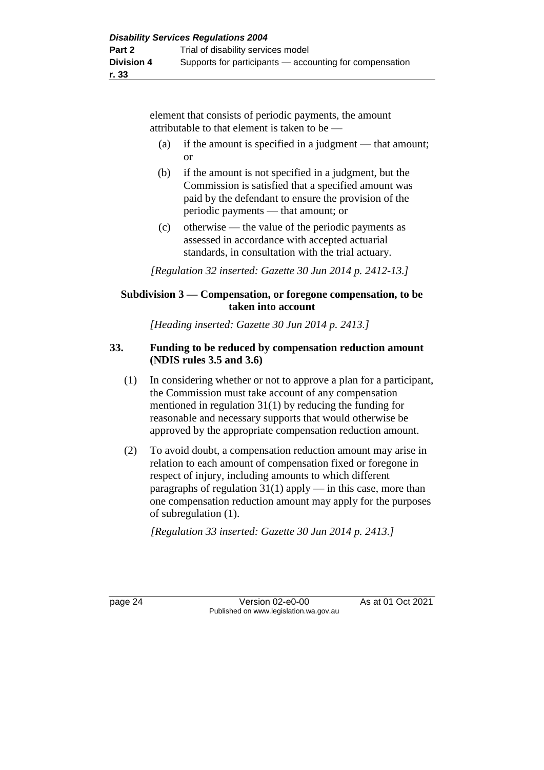element that consists of periodic payments, the amount attributable to that element is taken to be —

- (a) if the amount is specified in a judgment that amount; or
- (b) if the amount is not specified in a judgment, but the Commission is satisfied that a specified amount was paid by the defendant to ensure the provision of the periodic payments — that amount; or
- (c) otherwise the value of the periodic payments as assessed in accordance with accepted actuarial standards, in consultation with the trial actuary.

*[Regulation 32 inserted: Gazette 30 Jun 2014 p. 2412-13.]*

#### **Subdivision 3 — Compensation, or foregone compensation, to be taken into account**

*[Heading inserted: Gazette 30 Jun 2014 p. 2413.]*

#### **33. Funding to be reduced by compensation reduction amount (NDIS rules 3.5 and 3.6)**

- (1) In considering whether or not to approve a plan for a participant, the Commission must take account of any compensation mentioned in regulation 31(1) by reducing the funding for reasonable and necessary supports that would otherwise be approved by the appropriate compensation reduction amount.
- (2) To avoid doubt, a compensation reduction amount may arise in relation to each amount of compensation fixed or foregone in respect of injury, including amounts to which different paragraphs of regulation  $31(1)$  apply — in this case, more than one compensation reduction amount may apply for the purposes of subregulation (1).

*[Regulation 33 inserted: Gazette 30 Jun 2014 p. 2413.]*

page 24 Version 02-e0-00 As at 01 Oct 2021 Published on www.legislation.wa.gov.au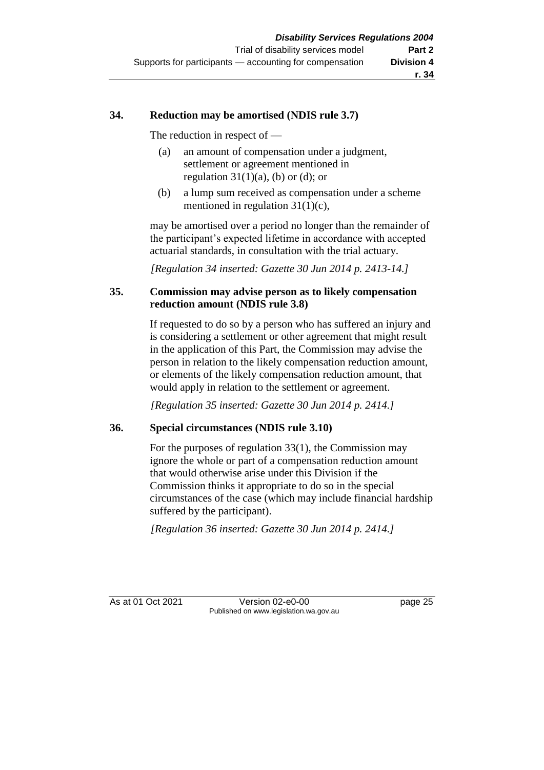#### **34. Reduction may be amortised (NDIS rule 3.7)**

The reduction in respect of —

- (a) an amount of compensation under a judgment, settlement or agreement mentioned in regulation  $31(1)(a)$ , (b) or (d); or
- (b) a lump sum received as compensation under a scheme mentioned in regulation 31(1)(c),

may be amortised over a period no longer than the remainder of the participant's expected lifetime in accordance with accepted actuarial standards, in consultation with the trial actuary.

*[Regulation 34 inserted: Gazette 30 Jun 2014 p. 2413-14.]*

#### **35. Commission may advise person as to likely compensation reduction amount (NDIS rule 3.8)**

If requested to do so by a person who has suffered an injury and is considering a settlement or other agreement that might result in the application of this Part, the Commission may advise the person in relation to the likely compensation reduction amount, or elements of the likely compensation reduction amount, that would apply in relation to the settlement or agreement.

*[Regulation 35 inserted: Gazette 30 Jun 2014 p. 2414.]*

#### **36. Special circumstances (NDIS rule 3.10)**

For the purposes of regulation 33(1), the Commission may ignore the whole or part of a compensation reduction amount that would otherwise arise under this Division if the Commission thinks it appropriate to do so in the special circumstances of the case (which may include financial hardship suffered by the participant).

*[Regulation 36 inserted: Gazette 30 Jun 2014 p. 2414.]*

As at 01 Oct 2021 Version 02-e0-00 page 25 Published on www.legislation.wa.gov.au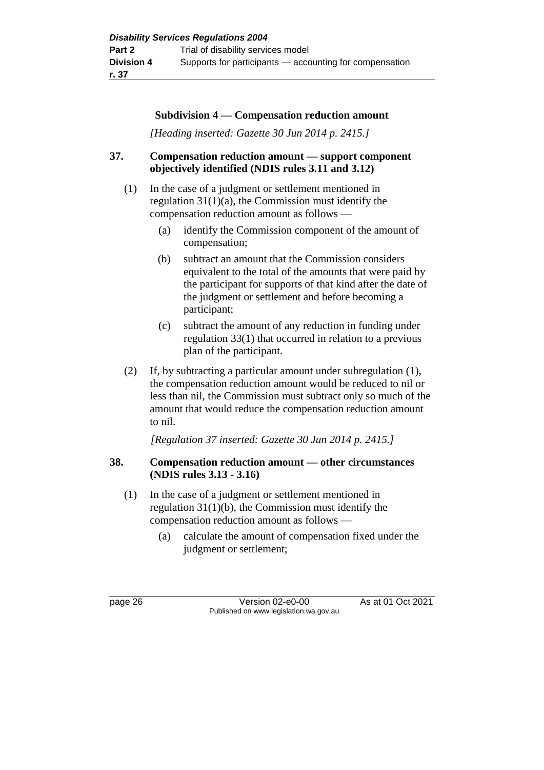#### **Subdivision 4 — Compensation reduction amount**

*[Heading inserted: Gazette 30 Jun 2014 p. 2415.]*

#### **37. Compensation reduction amount — support component objectively identified (NDIS rules 3.11 and 3.12)**

- (1) In the case of a judgment or settlement mentioned in regulation 31(1)(a), the Commission must identify the compensation reduction amount as follows —
	- (a) identify the Commission component of the amount of compensation;
	- (b) subtract an amount that the Commission considers equivalent to the total of the amounts that were paid by the participant for supports of that kind after the date of the judgment or settlement and before becoming a participant;
	- (c) subtract the amount of any reduction in funding under regulation 33(1) that occurred in relation to a previous plan of the participant.
- (2) If, by subtracting a particular amount under subregulation (1), the compensation reduction amount would be reduced to nil or less than nil, the Commission must subtract only so much of the amount that would reduce the compensation reduction amount to nil.

*[Regulation 37 inserted: Gazette 30 Jun 2014 p. 2415.]*

#### **38. Compensation reduction amount — other circumstances (NDIS rules 3.13 - 3.16)**

- (1) In the case of a judgment or settlement mentioned in regulation 31(1)(b), the Commission must identify the compensation reduction amount as follows —
	- (a) calculate the amount of compensation fixed under the judgment or settlement;

page 26 **Version 02-e0-00** As at 01 Oct 2021 Published on www.legislation.wa.gov.au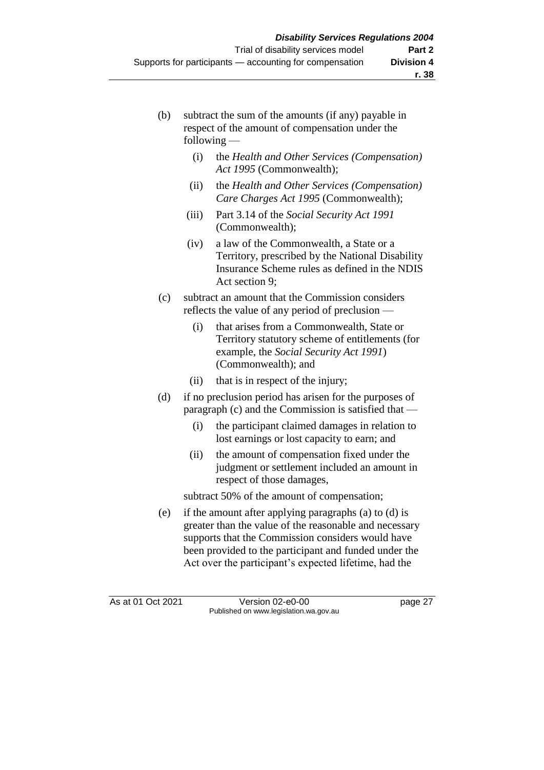- (b) subtract the sum of the amounts (if any) payable in respect of the amount of compensation under the following —
	- (i) the *Health and Other Services (Compensation) Act 1995* (Commonwealth);
	- (ii) the *Health and Other Services (Compensation) Care Charges Act 1995* (Commonwealth);
	- (iii) Part 3.14 of the *Social Security Act 1991*  (Commonwealth);
	- (iv) a law of the Commonwealth, a State or a Territory, prescribed by the National Disability Insurance Scheme rules as defined in the NDIS Act section 9;
- (c) subtract an amount that the Commission considers reflects the value of any period of preclusion —
	- (i) that arises from a Commonwealth, State or Territory statutory scheme of entitlements (for example, the *Social Security Act 1991*) (Commonwealth); and
	- (ii) that is in respect of the injury;
- (d) if no preclusion period has arisen for the purposes of paragraph (c) and the Commission is satisfied that —
	- (i) the participant claimed damages in relation to lost earnings or lost capacity to earn; and
	- (ii) the amount of compensation fixed under the judgment or settlement included an amount in respect of those damages,

subtract 50% of the amount of compensation;

(e) if the amount after applying paragraphs (a) to (d) is greater than the value of the reasonable and necessary supports that the Commission considers would have been provided to the participant and funded under the Act over the participant's expected lifetime, had the

As at 01 Oct 2021 Version 02-e0-00 page 27 Published on www.legislation.wa.gov.au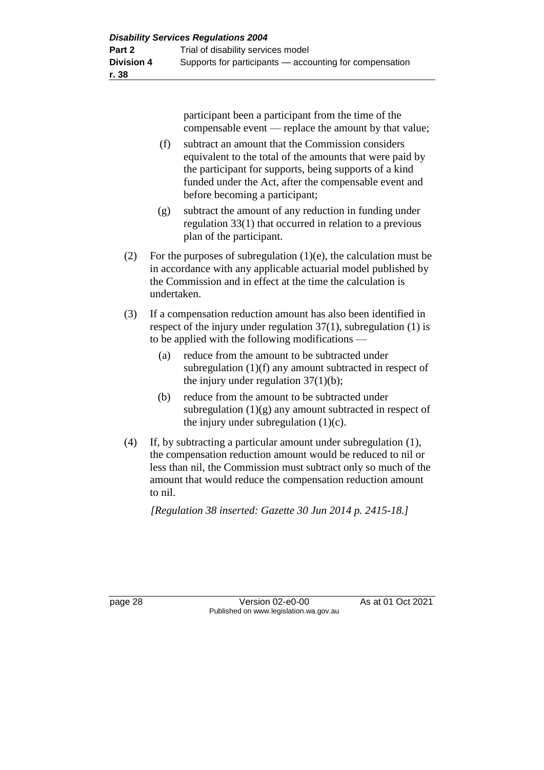participant been a participant from the time of the compensable event — replace the amount by that value;

- (f) subtract an amount that the Commission considers equivalent to the total of the amounts that were paid by the participant for supports, being supports of a kind funded under the Act, after the compensable event and before becoming a participant;
- (g) subtract the amount of any reduction in funding under regulation 33(1) that occurred in relation to a previous plan of the participant.
- (2) For the purposes of subregulation  $(1)(e)$ , the calculation must be in accordance with any applicable actuarial model published by the Commission and in effect at the time the calculation is undertaken.
- (3) If a compensation reduction amount has also been identified in respect of the injury under regulation 37(1), subregulation (1) is to be applied with the following modifications —
	- (a) reduce from the amount to be subtracted under subregulation (1)(f) any amount subtracted in respect of the injury under regulation  $37(1)(b)$ ;
	- (b) reduce from the amount to be subtracted under subregulation  $(1)(g)$  any amount subtracted in respect of the injury under subregulation  $(1)(c)$ .
- (4) If, by subtracting a particular amount under subregulation (1), the compensation reduction amount would be reduced to nil or less than nil, the Commission must subtract only so much of the amount that would reduce the compensation reduction amount to nil.

*[Regulation 38 inserted: Gazette 30 Jun 2014 p. 2415-18.]*

page 28 Version 02-e0-00 As at 01 Oct 2021 Published on www.legislation.wa.gov.au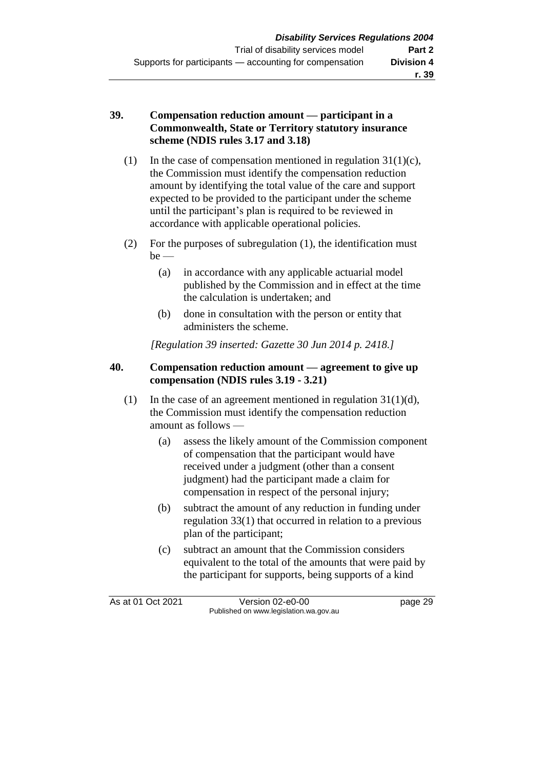#### **39. Compensation reduction amount — participant in a Commonwealth, State or Territory statutory insurance scheme (NDIS rules 3.17 and 3.18)**

- (1) In the case of compensation mentioned in regulation  $31(1)(c)$ , the Commission must identify the compensation reduction amount by identifying the total value of the care and support expected to be provided to the participant under the scheme until the participant's plan is required to be reviewed in accordance with applicable operational policies.
- (2) For the purposes of subregulation (1), the identification must  $be$  —
	- (a) in accordance with any applicable actuarial model published by the Commission and in effect at the time the calculation is undertaken; and
	- (b) done in consultation with the person or entity that administers the scheme.

*[Regulation 39 inserted: Gazette 30 Jun 2014 p. 2418.]*

#### **40. Compensation reduction amount — agreement to give up compensation (NDIS rules 3.19 - 3.21)**

- (1) In the case of an agreement mentioned in regulation 31(1)(d), the Commission must identify the compensation reduction amount as follows —
	- (a) assess the likely amount of the Commission component of compensation that the participant would have received under a judgment (other than a consent judgment) had the participant made a claim for compensation in respect of the personal injury;
	- (b) subtract the amount of any reduction in funding under regulation 33(1) that occurred in relation to a previous plan of the participant;
	- (c) subtract an amount that the Commission considers equivalent to the total of the amounts that were paid by the participant for supports, being supports of a kind

As at 01 Oct 2021 Version 02-e0-00 page 29 Published on www.legislation.wa.gov.au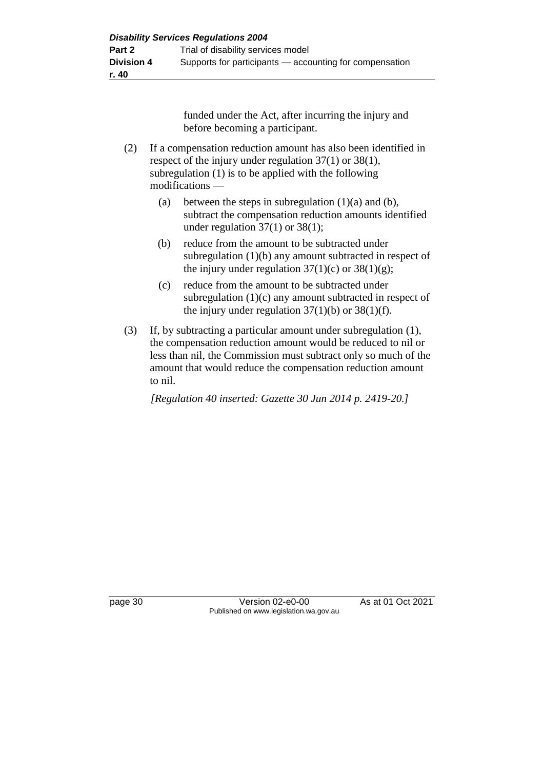funded under the Act, after incurring the injury and before becoming a participant.

- (2) If a compensation reduction amount has also been identified in respect of the injury under regulation 37(1) or 38(1), subregulation (1) is to be applied with the following modifications —
	- (a) between the steps in subregulation  $(1)(a)$  and  $(b)$ , subtract the compensation reduction amounts identified under regulation  $37(1)$  or  $38(1)$ ;
	- (b) reduce from the amount to be subtracted under subregulation (1)(b) any amount subtracted in respect of the injury under regulation  $37(1)(c)$  or  $38(1)(g)$ ;
	- (c) reduce from the amount to be subtracted under subregulation (1)(c) any amount subtracted in respect of the injury under regulation  $37(1)(b)$  or  $38(1)(f)$ .
- (3) If, by subtracting a particular amount under subregulation (1), the compensation reduction amount would be reduced to nil or less than nil, the Commission must subtract only so much of the amount that would reduce the compensation reduction amount to nil.

*[Regulation 40 inserted: Gazette 30 Jun 2014 p. 2419-20.]*

page 30 Version 02-e0-00 As at 01 Oct 2021 Published on www.legislation.wa.gov.au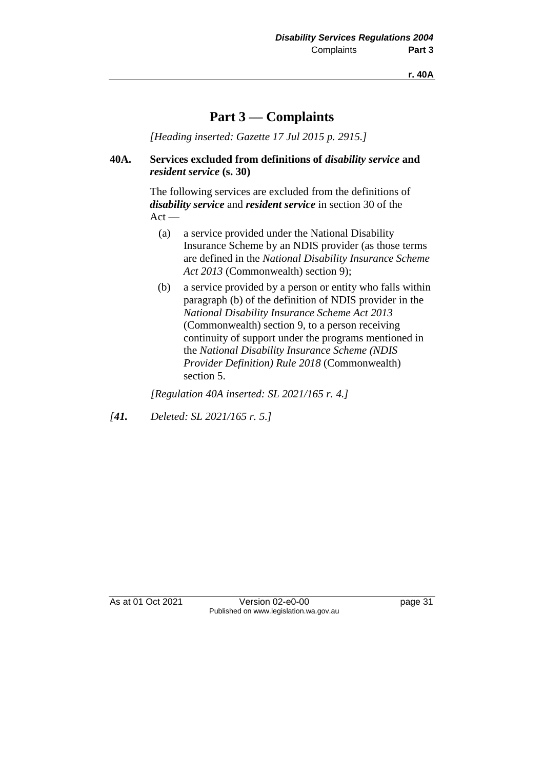**r. 40A**

# **Part 3 — Complaints**

*[Heading inserted: Gazette 17 Jul 2015 p. 2915.]*

#### **40A. Services excluded from definitions of** *disability service* **and**  *resident service* **(s. 30)**

The following services are excluded from the definitions of *disability service* and *resident service* in section 30 of the  $Act -$ 

- (a) a service provided under the National Disability Insurance Scheme by an NDIS provider (as those terms are defined in the *National Disability Insurance Scheme Act 2013* (Commonwealth) section 9);
- (b) a service provided by a person or entity who falls within paragraph (b) of the definition of NDIS provider in the *National Disability Insurance Scheme Act 2013* (Commonwealth) section 9, to a person receiving continuity of support under the programs mentioned in the *National Disability Insurance Scheme (NDIS Provider Definition) Rule 2018* (Commonwealth) section 5.

*[Regulation 40A inserted: SL 2021/165 r. 4.]*

*[41. Deleted: SL 2021/165 r. 5.]*

As at 01 Oct 2021 Version 02-e0-00 Page 31 Published on www.legislation.wa.gov.au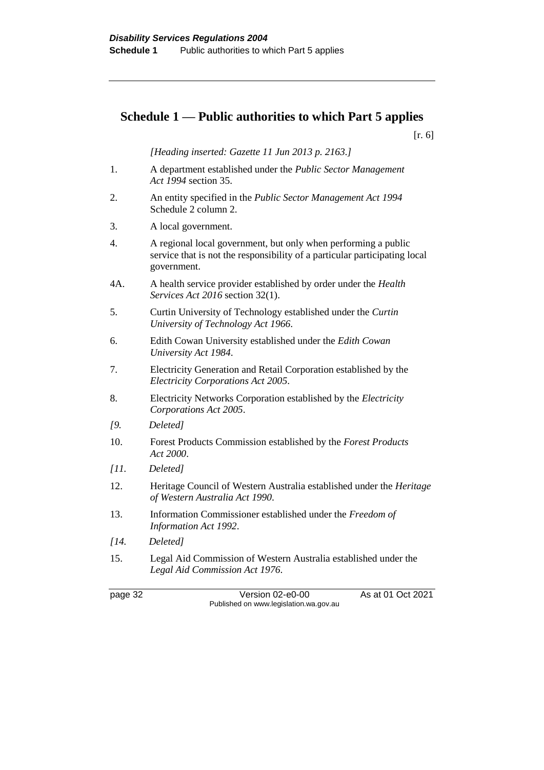# **Schedule 1 — Public authorities to which Part 5 applies**

[r. 6]

*[Heading inserted: Gazette 11 Jun 2013 p. 2163.]*

- 1. A department established under the *Public Sector Management Act 1994* section 35.
- 2. An entity specified in the *Public Sector Management Act 1994* Schedule 2 column 2.
- 3. A local government.
- 4. A regional local government, but only when performing a public service that is not the responsibility of a particular participating local government.
- 4A. A health service provider established by order under the *Health Services Act 2016* section 32(1).
- 5. Curtin University of Technology established under the *Curtin University of Technology Act 1966*.
- 6. Edith Cowan University established under the *Edith Cowan University Act 1984*.
- 7. Electricity Generation and Retail Corporation established by the *Electricity Corporations Act 2005*.
- 8. Electricity Networks Corporation established by the *Electricity Corporations Act 2005*.
- *[9. Deleted]*
- 10. Forest Products Commission established by the *Forest Products Act 2000*.
- *[11. Deleted]*
- 12. Heritage Council of Western Australia established under the *Heritage of Western Australia Act 1990*.
- 13. Information Commissioner established under the *Freedom of Information Act 1992*.
- *[14. Deleted]*
- 15. Legal Aid Commission of Western Australia established under the *Legal Aid Commission Act 1976*.

page 32 Version 02-e0-00 As at 01 Oct 2021 Published on www.legislation.wa.gov.au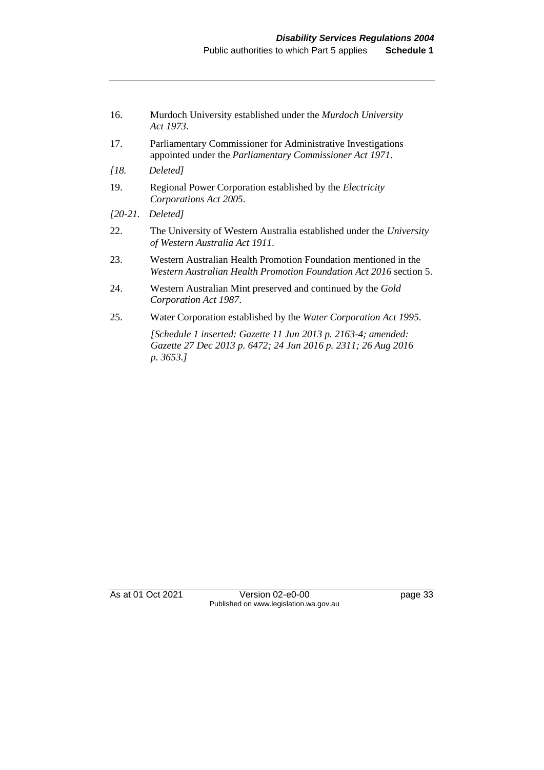| 16. | Murdoch University established under the Murdoch University |
|-----|-------------------------------------------------------------|
|     | Act 1973.                                                   |

- 17. Parliamentary Commissioner for Administrative Investigations appointed under the *Parliamentary Commissioner Act 1971*.
- *[18. Deleted]*
- 19. Regional Power Corporation established by the *Electricity Corporations Act 2005*.
- *[20-21. Deleted]*
- 22. The University of Western Australia established under the *University of Western Australia Act 1911*.
- 23. Western Australian Health Promotion Foundation mentioned in the *Western Australian Health Promotion Foundation Act 2016* section 5.
- 24. Western Australian Mint preserved and continued by the *Gold Corporation Act 1987*.
- 25. Water Corporation established by the *Water Corporation Act 1995*.

*[Schedule 1 inserted: Gazette 11 Jun 2013 p. 2163-4; amended: Gazette 27 Dec 2013 p. 6472; 24 Jun 2016 p. 2311; 26 Aug 2016 p. 3653.]*

As at 01 Oct 2021 Version 02-e0-00 page 33 Published on www.legislation.wa.gov.au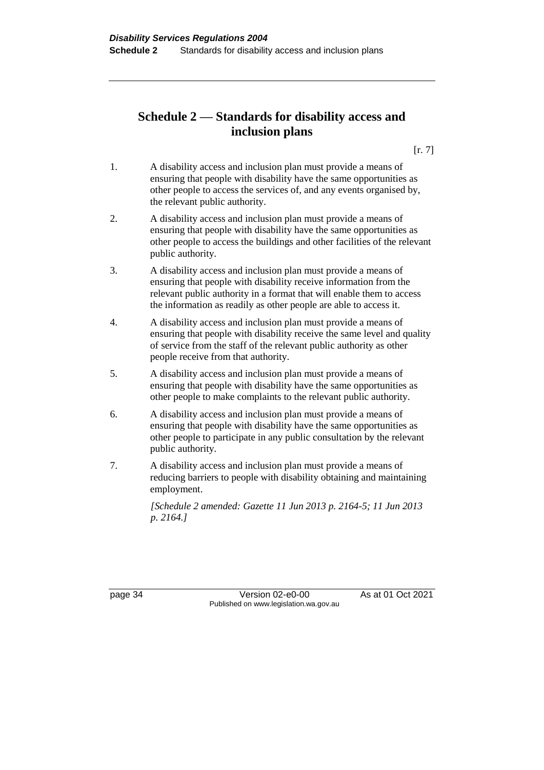# **Schedule 2 — Standards for disability access and inclusion plans**

 $[r. 7]$ 

- 1. A disability access and inclusion plan must provide a means of ensuring that people with disability have the same opportunities as other people to access the services of, and any events organised by, the relevant public authority.
- 2. A disability access and inclusion plan must provide a means of ensuring that people with disability have the same opportunities as other people to access the buildings and other facilities of the relevant public authority.
- 3. A disability access and inclusion plan must provide a means of ensuring that people with disability receive information from the relevant public authority in a format that will enable them to access the information as readily as other people are able to access it.
- 4. A disability access and inclusion plan must provide a means of ensuring that people with disability receive the same level and quality of service from the staff of the relevant public authority as other people receive from that authority.
- 5. A disability access and inclusion plan must provide a means of ensuring that people with disability have the same opportunities as other people to make complaints to the relevant public authority.
- 6. A disability access and inclusion plan must provide a means of ensuring that people with disability have the same opportunities as other people to participate in any public consultation by the relevant public authority.
- 7. A disability access and inclusion plan must provide a means of reducing barriers to people with disability obtaining and maintaining employment.

*[Schedule 2 amended: Gazette 11 Jun 2013 p. 2164-5; 11 Jun 2013 p. 2164.]*

page 34 Version 02-e0-00 As at 01 Oct 2021 Published on www.legislation.wa.gov.au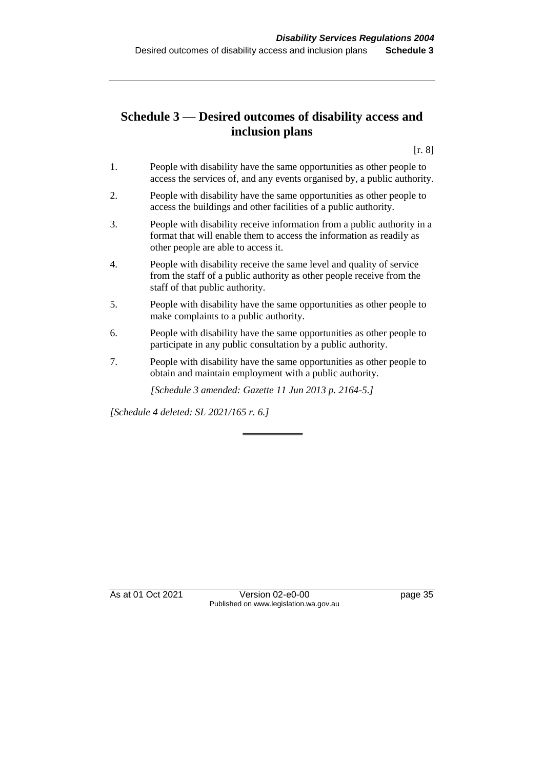# **Schedule 3 — Desired outcomes of disability access and inclusion plans**

[r. 8]

- 1. People with disability have the same opportunities as other people to access the services of, and any events organised by, a public authority.
- 2. People with disability have the same opportunities as other people to access the buildings and other facilities of a public authority.
- 3. People with disability receive information from a public authority in a format that will enable them to access the information as readily as other people are able to access it.
- 4. People with disability receive the same level and quality of service from the staff of a public authority as other people receive from the staff of that public authority.
- 5. People with disability have the same opportunities as other people to make complaints to a public authority.
- 6. People with disability have the same opportunities as other people to participate in any public consultation by a public authority.
- 7. People with disability have the same opportunities as other people to obtain and maintain employment with a public authority.

*[Schedule 3 amended: Gazette 11 Jun 2013 p. 2164-5.]*

*[Schedule 4 deleted: SL 2021/165 r. 6.]*

As at 01 Oct 2021 Version 02-e0-00 Page 35 Published on www.legislation.wa.gov.au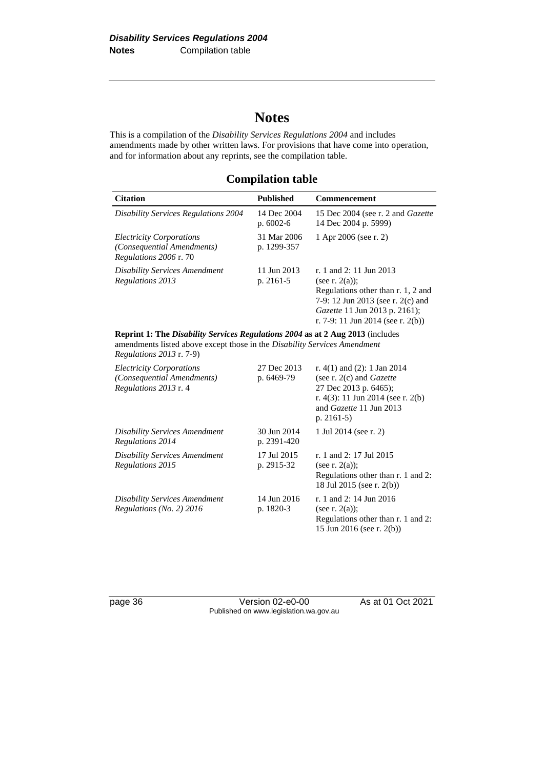# **Notes**

This is a compilation of the *Disability Services Regulations 2004* and includes amendments made by other written laws. For provisions that have come into operation, and for information about any reprints, see the compilation table.

## **Compilation table**

| <b>Citation</b>                                                                                | <b>Published</b>           | <b>Commencement</b>                                                                                                                                                                                  |  |
|------------------------------------------------------------------------------------------------|----------------------------|------------------------------------------------------------------------------------------------------------------------------------------------------------------------------------------------------|--|
| <b>Disability Services Regulations 2004</b>                                                    | 14 Dec 2004<br>$p.6002-6$  | 15 Dec 2004 (see r. 2 and <i>Gazette</i><br>14 Dec 2004 p. 5999)                                                                                                                                     |  |
| <i>Electricity Corporations</i><br><i>(Consequential Amendments)</i><br>Regulations 2006 r. 70 | 31 Mar 2006<br>p. 1299-357 | 1 Apr 2006 (see r. 2)                                                                                                                                                                                |  |
| <b>Disability Services Amendment</b><br>Regulations 2013                                       | 11 Jun 2013<br>p. $2161-5$ | r. 1 and 2: 11 Jun 2013<br>(see r. $2(a)$ );<br>Regulations other than r. 1, 2 and<br>7-9: 12 Jun 2013 (see r. 2(c) and<br><i>Gazette</i> 11 Jun 2013 p. 2161);<br>r. 7-9: 11 Jun 2014 (see r. 2(b)) |  |
| Reprint 1: The Disability Services Regulations 2004 as at 2 Aug 2013 (includes                 |                            |                                                                                                                                                                                                      |  |

amendments listed above except those in the *Disability Services Amendment Regulations 2013* r. 7-9)

| <b>Electricity Corporations</b><br>(Consequential Amendments)<br>Regulations 2013 r. 4 | 27 Dec 2013<br>p. 6469-79  | r. 4(1) and (2): 1 Jan 2014<br>(see r. $2(c)$ and <i>Gazette</i><br>27 Dec 2013 p. 6465);<br>r. 4(3): 11 Jun 2014 (see r. 2(b)<br>and Gazette 11 Jun 2013<br>p. $2161-5$ |
|----------------------------------------------------------------------------------------|----------------------------|--------------------------------------------------------------------------------------------------------------------------------------------------------------------------|
| Disability Services Amendment<br>Regulations 2014                                      | 30 Jun 2014<br>p. 2391-420 | 1 Jul 2014 (see r. 2)                                                                                                                                                    |
| <b>Disability Services Amendment</b><br>Regulations 2015                               | 17 Jul 2015<br>p. 2915-32  | r. 1 and 2: 17 Jul 2015<br>(see r. $2(a)$ );<br>Regulations other than r. 1 and 2:<br>18 Jul 2015 (see r. 2(b))                                                          |
| <b>Disability Services Amendment</b><br>Regulations (No. 2) $2016$                     | 14 Jun 2016<br>p. 1820-3   | r. 1 and 2: 14 Jun 2016<br>(see r. $2(a)$ );<br>Regulations other than r. 1 and 2:<br>15 Jun 2016 (see r. 2(b))                                                          |

page 36 Version 02-e0-00 As at 01 Oct 2021 Published on www.legislation.wa.gov.au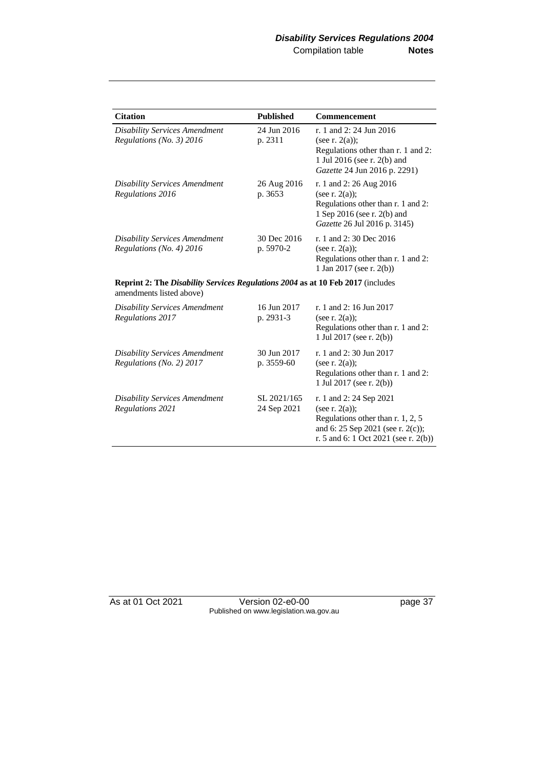| <b>Citation</b>                                                                                             | <b>Published</b>           | Commencement                                                                                                                                                   |
|-------------------------------------------------------------------------------------------------------------|----------------------------|----------------------------------------------------------------------------------------------------------------------------------------------------------------|
| <b>Disability Services Amendment</b><br>Regulations (No. 3) 2016                                            | 24 Jun 2016<br>p. 2311     | r. 1 and 2: 24 Jun 2016<br>(see r. $2(a)$ );<br>Regulations other than r. 1 and 2:<br>1 Jul 2016 (see r. 2(b) and<br>Gazette 24 Jun 2016 p. 2291)              |
| <b>Disability Services Amendment</b><br>Regulations 2016                                                    | 26 Aug 2016<br>p. 3653     | r. 1 and 2: 26 Aug 2016<br>(see r. $2(a)$ );<br>Regulations other than r. 1 and 2:<br>1 Sep 2016 (see r. 2(b) and<br>Gazette 26 Jul 2016 p. 3145)              |
| <b>Disability Services Amendment</b><br>Regulations (No. 4) 2016                                            | 30 Dec 2016<br>p. 5970-2   | r. 1 and 2:30 Dec 2016<br>(see r. $2(a)$ );<br>Regulations other than r. 1 and 2:<br>1 Jan 2017 (see r. 2(b))                                                  |
| Reprint 2: The Disability Services Regulations 2004 as at 10 Feb 2017 (includes<br>amendments listed above) |                            |                                                                                                                                                                |
| <b>Disability Services Amendment</b><br>Regulations 2017                                                    | 16 Jun 2017<br>p. 2931-3   | r. 1 and 2: 16 Jun 2017<br>(see r. $2(a)$ );<br>Regulations other than r. 1 and 2:<br>1 Jul 2017 (see r. 2(b))                                                 |
| <b>Disability Services Amendment</b><br>Regulations (No. 2) 2017                                            | 30 Jun 2017<br>p. 3559-60  | r. 1 and 2:30 Jun 2017<br>(see r. $2(a)$ );<br>Regulations other than r. 1 and 2:<br>1 Jul 2017 (see r. 2(b))                                                  |
| <b>Disability Services Amendment</b><br>Regulations 2021                                                    | SL 2021/165<br>24 Sep 2021 | r. 1 and 2: 24 Sep 2021<br>(see r. $2(a)$ );<br>Regulations other than r. 1, 2, 5<br>and 6: 25 Sep 2021 (see r. 2(c));<br>r. 5 and 6: 1 Oct 2021 (see r. 2(b)) |

As at 01 Oct 2021 Version 02-e0-00 page 37 Published on www.legislation.wa.gov.au